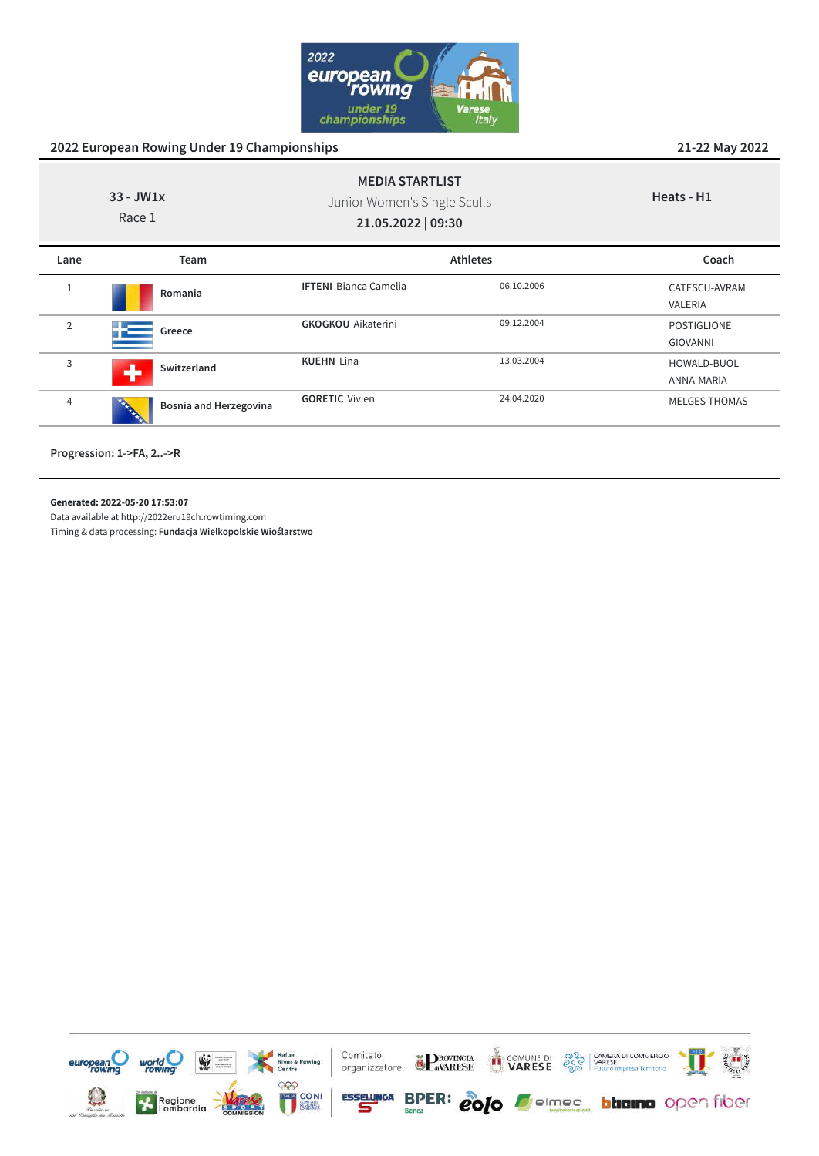

#### **33 - JW1x** Race 1 **MEDIA STARTLIST** Junior Women's Single Sculls **21.05.2022 | 09:30 Heats - H1 Lane Team Athletes Coach** <sup>1</sup> **Romania IFTENI** Bianca Camelia **CATESCU-AVRAM** 06.10.2006 CATESCU-AVRAM VALERIA <sup>2</sup> **Greece** GKOGKOU Aikaterini 09.12.2004 POSTIGLIONE GIOVANNI <sup>3</sup> **Switzerland KUEHN** Lina 13.03.2004 13.03.2004 ANNA-MARIA <sup>4</sup> **Bosnia and Herzegovina** GORETIC Vivien 24.04.2020 MELGES THOMAS **2022 European Rowing Under 19 Championships 21-22 May 2022**

**Progression: 1->FA, 2..->R**

#### **Generated: 2022-05-20 17:53:07**

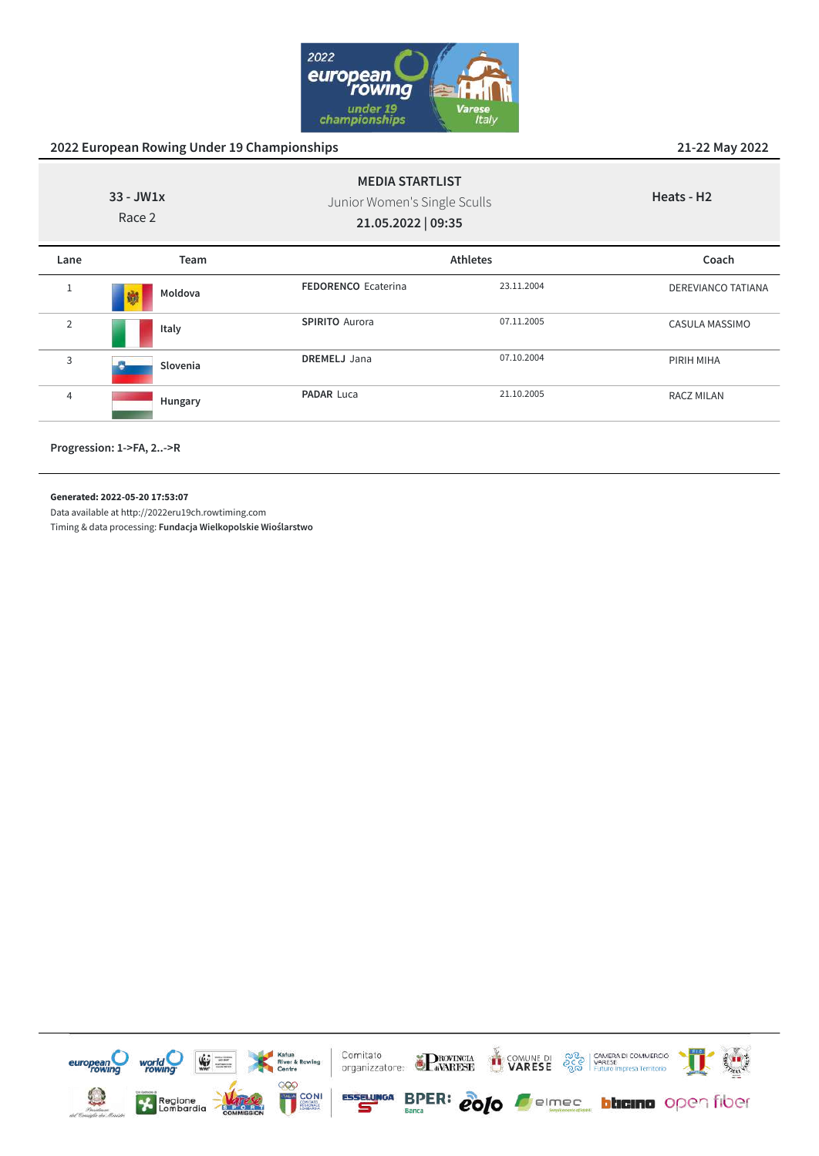

|                                                                                                       | 2022 European Rowing Under 19 Championships | 21-22 May 2022             |                        |                    |
|-------------------------------------------------------------------------------------------------------|---------------------------------------------|----------------------------|------------------------|--------------------|
| <b>MEDIA STARTLIST</b><br>$33 - JW1x$<br>Junior Women's Single Sculls<br>Race 2<br>21.05.2022   09:35 |                                             |                            | Heats - H <sub>2</sub> |                    |
| Lane                                                                                                  | Team                                        | <b>Athletes</b>            |                        | Coach              |
| 1                                                                                                     | Moldova<br><b>Viral</b>                     | <b>FEDORENCO Ecaterina</b> | 23.11.2004             | DEREVIANCO TATIANA |
| $\overline{2}$                                                                                        | Italy                                       | <b>SPIRITO Aurora</b>      | 07.11.2005             | CASULA MASSIMO     |
| 3                                                                                                     | Slovenia                                    | <b>DREMELJ</b> Jana        | 07.10.2004             | PIRIH MIHA         |
| 4                                                                                                     | Hungary                                     | <b>PADAR Luca</b>          | 21.10.2005             | <b>RACZ MILAN</b>  |
|                                                                                                       |                                             |                            |                        |                    |

**Progression: 1->FA, 2..->R**

#### **Generated: 2022-05-20 17:53:07**

Data available at http://2022eru19ch.rowtiming.com

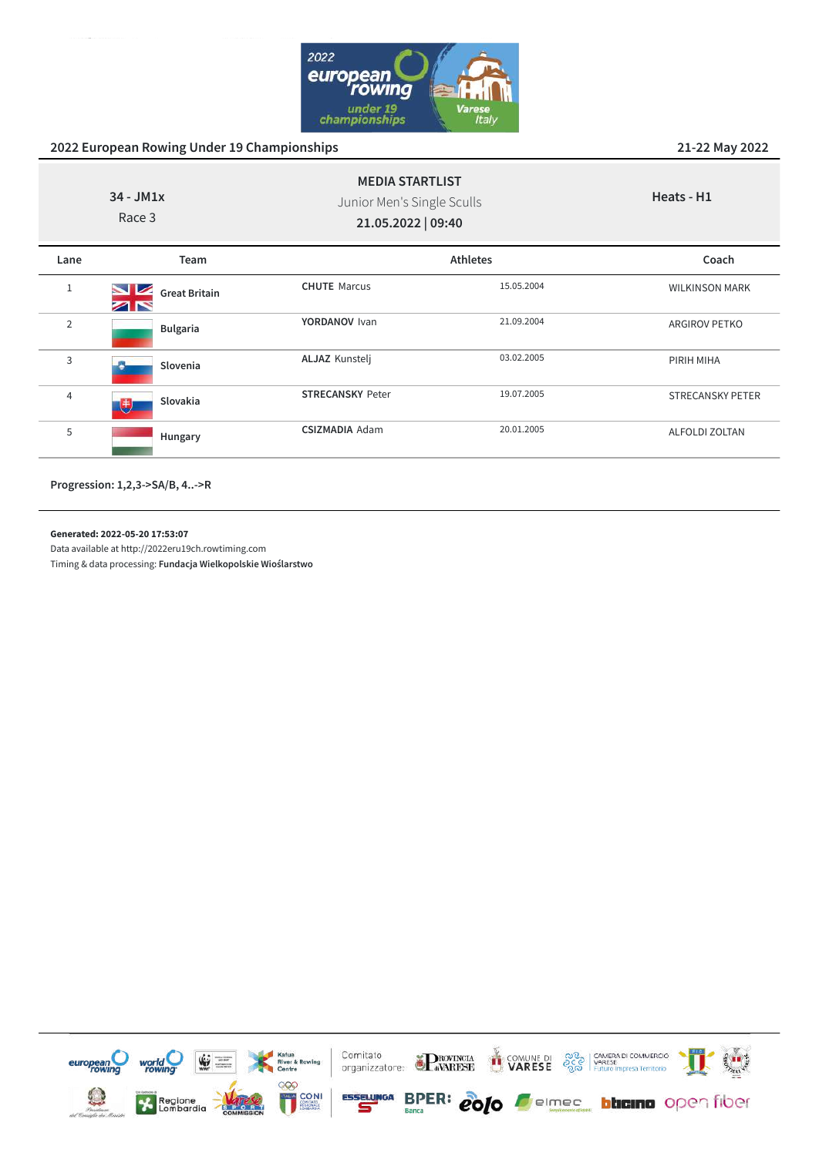

| $34 - JM1x$<br>Race 3 |                                             | <b>MEDIA STARTLIST</b><br>Junior Men's Single Sculls<br>21.05.2022   09:40 |                 | Heats - H1              |
|-----------------------|---------------------------------------------|----------------------------------------------------------------------------|-----------------|-------------------------|
| Lane                  | Team                                        |                                                                            | <b>Athletes</b> | Coach                   |
| 1                     | $\sim$ $\sim$<br><b>Great Britain</b><br>ZN | <b>CHUTE Marcus</b>                                                        | 15.05.2004      | <b>WILKINSON MARK</b>   |
| $\overline{2}$        | Bulgaria                                    | YORDANOV Ivan                                                              | 21.09.2004      | <b>ARGIROV PETKO</b>    |
| 3                     | Slovenia                                    | <b>ALJAZ Kunstelj</b>                                                      | 03.02.2005      | PIRIH MIHA              |
| 4                     | Slovakia<br>嗖                               | <b>STRECANSKY Peter</b>                                                    | 19.07.2005      | <b>STRECANSKY PETER</b> |
| 5                     | Hungary                                     | <b>CSIZMADIA Adam</b>                                                      | 20.01.2005      | <b>ALFOLDI ZOLTAN</b>   |

**Progression: 1,2,3->SA/B, 4..->R**

#### **Generated: 2022-05-20 17:53:07**

Data available at http://2022eru19ch.rowtiming.com

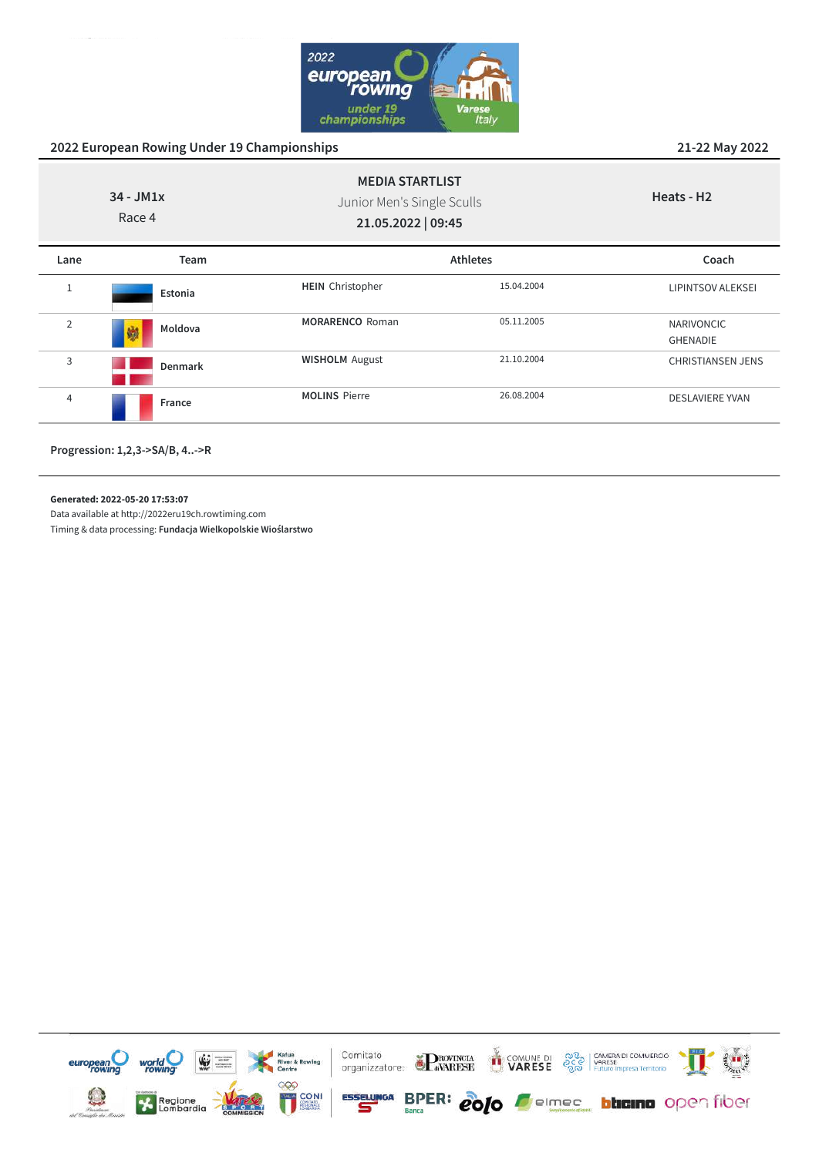

# **34 - JM1x** Race 4 **MEDIA STARTLIST** Junior Men's Single Sculls **21.05.2022 | 09:45 Heats - H2 Lane Team Athletes Coach** <sup>1</sup> **Estonia** HEIN Christopher 15.04.2004 15.04.2004 2 **Moldova MORARENCO** Roman 05.11.2005 05.11.2005 GHENADIE <sup>3</sup> **Denmark** WISHOLM August 21.10.2004 CHRISTIANSEN JENS <sup>4</sup> **France** MOLINS Pierre 26.08.2004 DESLAVIERE YVAN

**Progression: 1,2,3->SA/B, 4..->R**

#### **Generated: 2022-05-20 17:53:07**

Data available at http://2022eru19ch.rowtiming.com Timing & data processing: **Fundacja Wielkopolskie Wioślarstwo**



**2022 European Rowing Under 19 Championships 21-22 May 2022**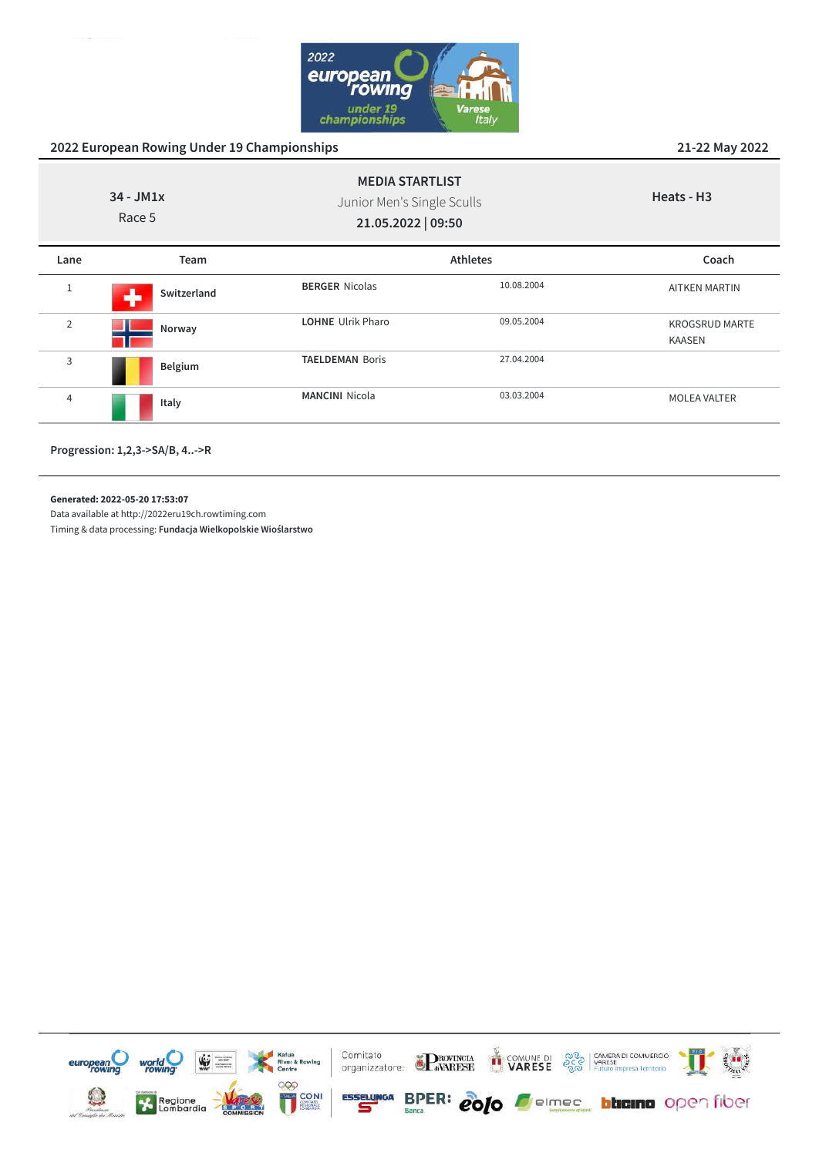

|                                                                                                     | 2022 European Rowing Under 19 Championships | 21-22 May 2022           |            |                                 |
|-----------------------------------------------------------------------------------------------------|---------------------------------------------|--------------------------|------------|---------------------------------|
| <b>MEDIA STARTLIST</b><br>$34 - JM1x$<br>Junior Men's Single Sculls<br>Race 5<br>21.05.2022   09:50 |                                             | Heats - H <sub>3</sub>   |            |                                 |
| Lane                                                                                                | Team                                        | <b>Athletes</b>          |            | Coach                           |
| $\mathbf{1}$                                                                                        | Switzerland<br>J.                           | <b>BERGER Nicolas</b>    | 10.08.2004 | <b>AITKEN MARTIN</b>            |
| $\overline{2}$                                                                                      | Norway                                      | <b>LOHNE</b> Ulrik Pharo | 09.05.2004 | <b>KROGSRUD MARTE</b><br>KAASEN |
| 3                                                                                                   | Belgium                                     | <b>TAELDEMAN Boris</b>   | 27.04.2004 |                                 |
| 4                                                                                                   | Italy                                       | <b>MANCINI Nicola</b>    | 03.03.2004 | <b>MOLEA VALTER</b>             |
|                                                                                                     |                                             |                          |            |                                 |

**Progression: 1,2,3->SA/B, 4..->R**

#### **Generated: 2022-05-20 17:53:07**

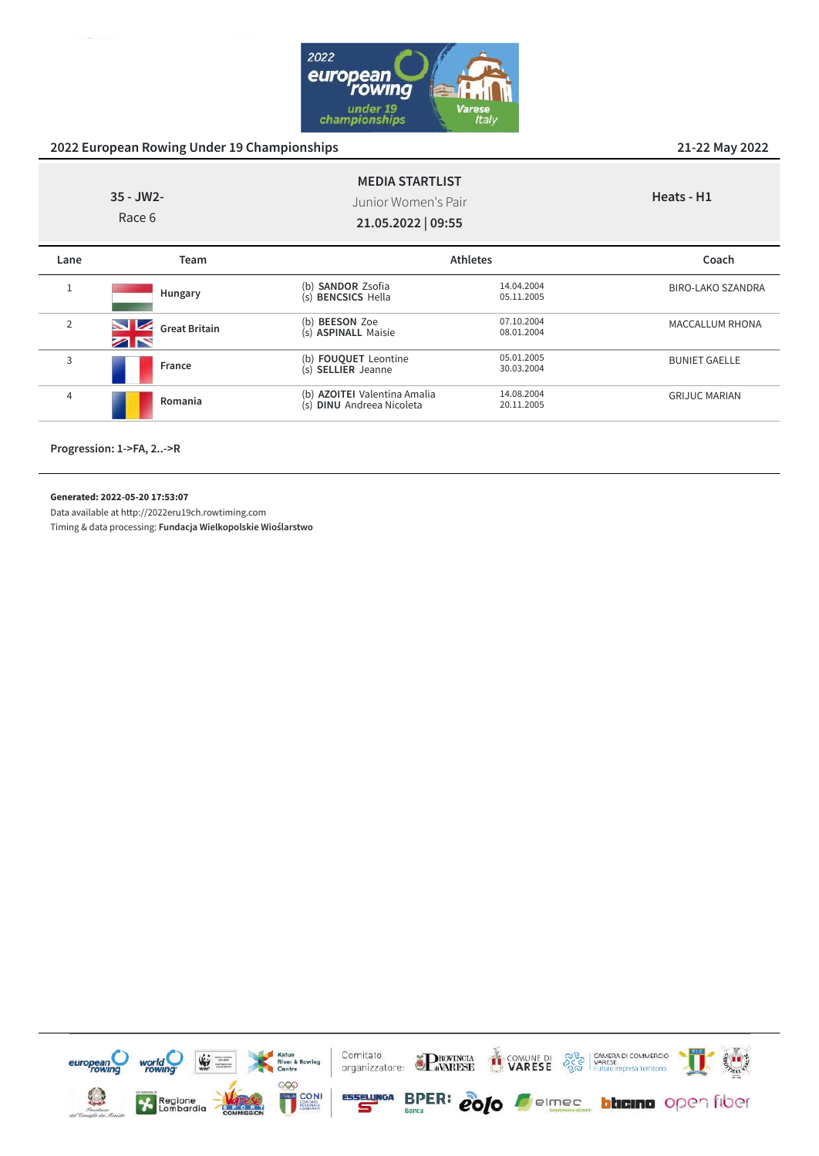

| $35 - JW2$<br>Race 6 |                                        | <b>MEDIA STARTLIST</b><br>Junior Women's Pair<br>21.05.2022   09:55 |                          | Heats - H1               |
|----------------------|----------------------------------------|---------------------------------------------------------------------|--------------------------|--------------------------|
| Lane                 | Team                                   |                                                                     | Athletes                 | Coach                    |
| $\mathbf{1}$         | Hungary                                | (b) <b>SANDOR</b> Zsofia<br>(s) <b>BENCSICS</b> Hella               | 14.04.2004<br>05.11.2005 | <b>BIRO-LAKO SZANDRA</b> |
| $\overline{2}$       | $\blacksquare$<br><b>Great Britain</b> | (b) BEESON Zoe<br>(s) ASPINALL Maisie                               | 07.10.2004<br>08.01.2004 | MACCALLUM RHONA          |
| 3                    | France                                 | (b) <b>FOUQUET</b> Leontine<br>(s) SELLIER Jeanne                   | 05.01.2005<br>30.03.2004 | <b>BUNIET GAELLE</b>     |
| $\overline{4}$       | Romania                                | (b) AZOITEI Valentina Amalia<br>(s) DINU Andreea Nicoleta           | 14.08.2004<br>20.11.2005 | <b>GRIJUC MARIAN</b>     |

**Progression: 1->FA, 2..->R**

**Generated: 2022-05-20 17:53:07**

Data available at http://2022eru19ch.rowtiming.com

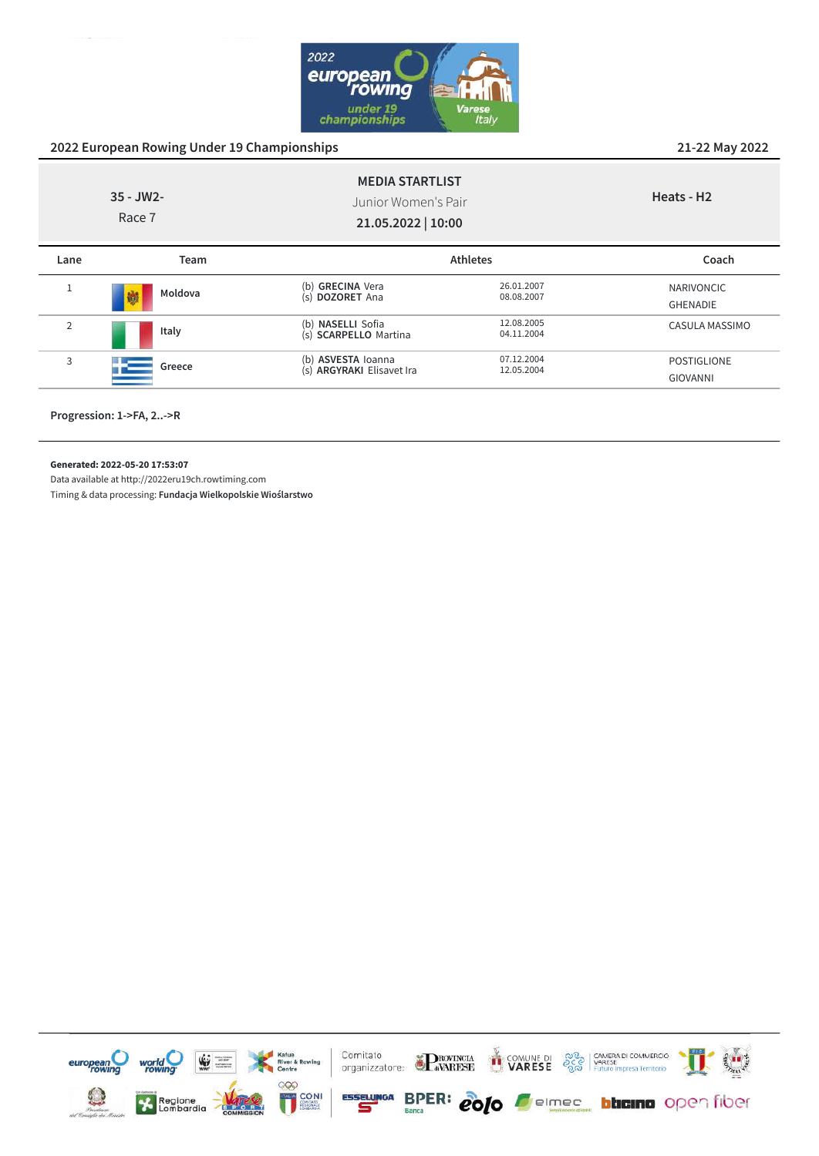

| $35 - JW2 -$<br>Race 7 |              | <b>MEDIA STARTLIST</b><br>Junior Women's Pair<br>21.05.2022   10:00 |                          | Heats - H <sub>2</sub>               |
|------------------------|--------------|---------------------------------------------------------------------|--------------------------|--------------------------------------|
| Lane                   | Team         |                                                                     | <b>Athletes</b>          | Coach                                |
| $\perp$                | Moldova<br>艨 | (b) GRECINA Vera<br>(s) DOZORET Ana                                 | 26.01.2007<br>08.08.2007 | <b>NARIVONCIC</b><br><b>GHENADIE</b> |
| $\overline{2}$         | Italy        | (b) NASELLI Sofia<br>(s) SCARPELLO Martina                          | 12.08.2005<br>04.11.2004 | CASULA MASSIMO                       |
| 3                      | Greece       | (b) ASVESTA loanna<br>(s) <b>ARGYRAKI</b> Elisavet Ira              | 07.12.2004<br>12.05.2004 | POSTIGLIONE<br>GIOVANNI              |

**Progression: 1->FA, 2..->R**

**Generated: 2022-05-20 17:53:07**

Data available at http://2022eru19ch.rowtiming.com

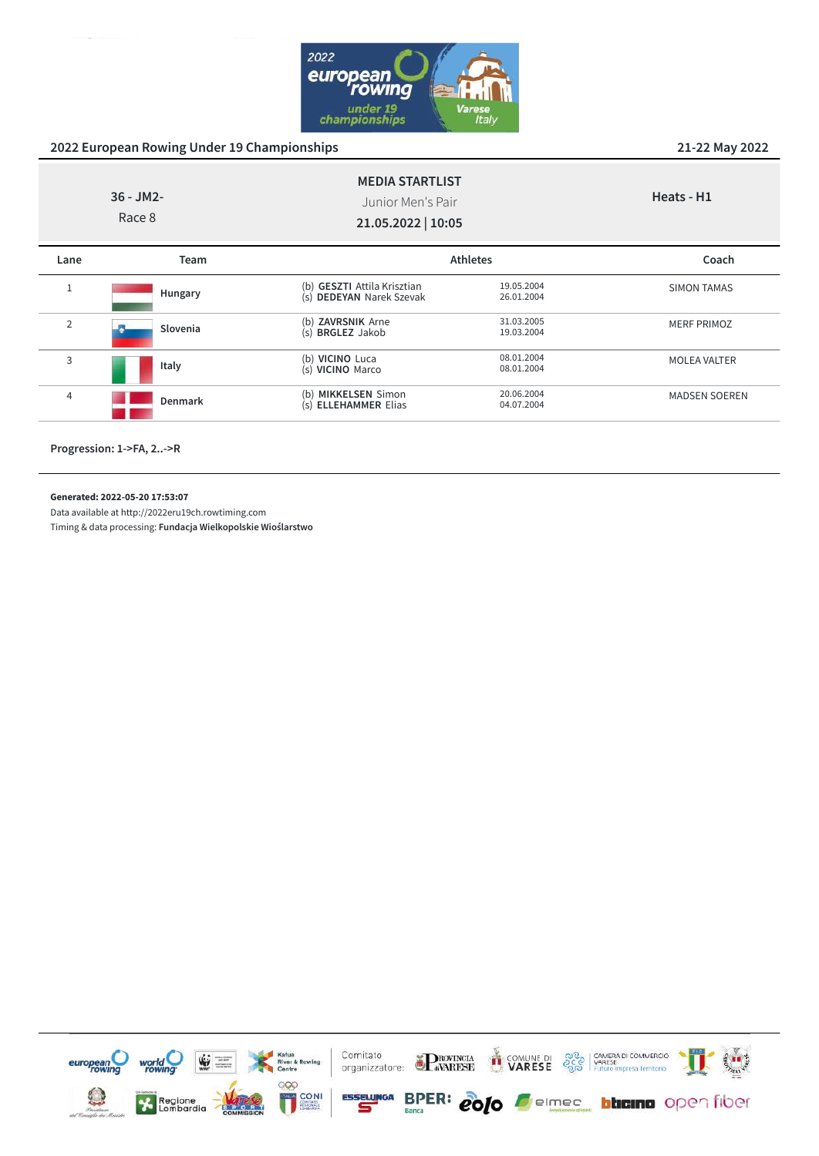

| $36 - JM2$ -<br>Race 8 |                | <b>MEDIA STARTLIST</b><br>Junior Men's Pair<br>21.05.2022   10:05 |                          | Heats - H1           |
|------------------------|----------------|-------------------------------------------------------------------|--------------------------|----------------------|
| Lane                   | Team           |                                                                   | <b>Athletes</b>          | Coach                |
| $\mathbf{1}$           | Hungary        | (b) <b>GESZTI</b> Attila Krisztian<br>(s) DEDEYAN Narek Szevak    | 19.05.2004<br>26.01.2004 | <b>SIMON TAMAS</b>   |
| 2                      | Slovenia       | (b) ZAVRSNIK Arne<br>(s) BRGLEZ Jakob                             | 31.03.2005<br>19.03.2004 | <b>MERF PRIMOZ</b>   |
| 3                      | Italy          | (b) VICINO Luca<br>(s) VICINO Marco                               | 08.01.2004<br>08.01.2004 | <b>MOLEA VALTER</b>  |
| $\overline{4}$         | <b>Denmark</b> | (b) MIKKELSEN Simon<br>(s) ELLEHAMMER Elias                       | 20.06.2004<br>04.07.2004 | <b>MADSEN SOEREN</b> |

**Progression: 1->FA, 2..->R**

**Generated: 2022-05-20 17:53:07**

Data available at http://2022eru19ch.rowtiming.com

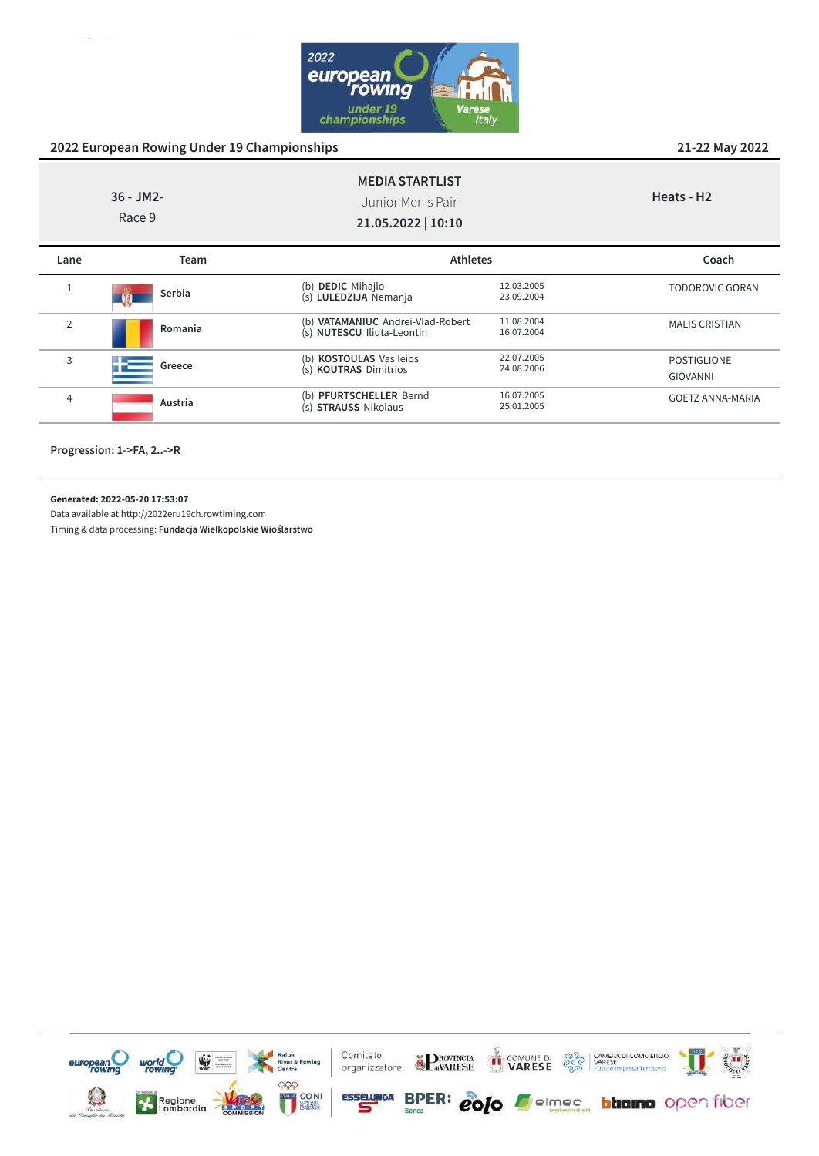

| $36 - JM2$ -<br>Race 9 |         | <b>MEDIA STARTLIST</b><br>Junior Men's Pair<br>21.05.2022   10:10 |                          | Heats - H <sub>2</sub>                |
|------------------------|---------|-------------------------------------------------------------------|--------------------------|---------------------------------------|
| Lane                   | Team    | <b>Athletes</b>                                                   |                          | Coach                                 |
|                        | Serbia  | (b) DEDIC Mihajlo<br>(s) LULEDZIJA Nemanja                        | 12.03.2005<br>23.09.2004 | TODOROVIC GORAN                       |
| 2                      | Romania | (b) VATAMANIUC Andrei-Vlad-Robert<br>(s) NUTESCU Iliuta-Leontin   | 11.08.2004<br>16.07.2004 | <b>MALIS CRISTIAN</b>                 |
| 3                      | Greece  | (b) KOSTOULAS Vasileios<br>(s) KOUTRAS Dimitrios                  | 22.07.2005<br>24.08.2006 | <b>POSTIGLIONE</b><br><b>GIOVANNI</b> |
| $\overline{4}$         | Austria | (b) PFURTSCHELLER Bernd<br>(s) STRAUSS Nikolaus                   | 16.07.2005<br>25.01.2005 | <b>GOETZ ANNA-MARIA</b>               |

**Progression: 1->FA, 2..->R**

#### **Generated: 2022-05-20 17:53:07**

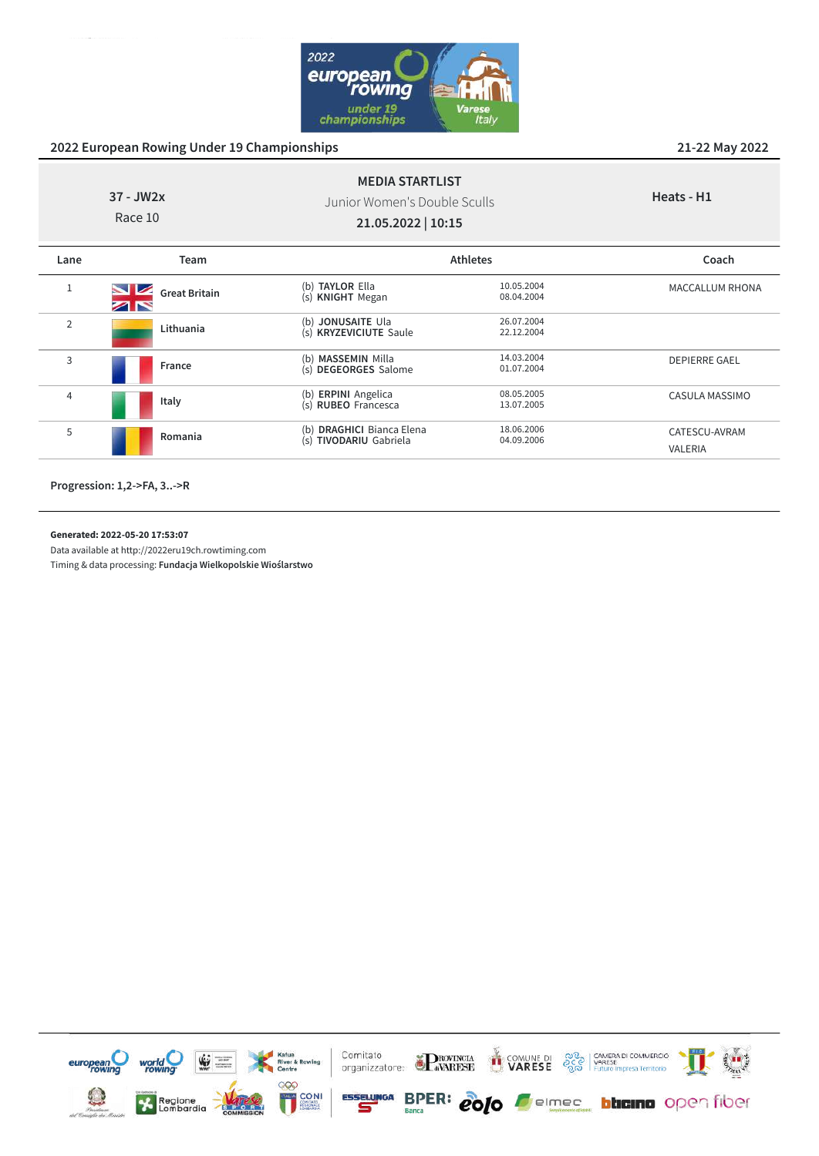

| 37 - JW2x<br>Race 10 |                                       | <b>MEDIA STARTLIST</b><br>Junior Women's Double Sculls<br>21.05.2022   10:15 |                          | Heats - H1                      |
|----------------------|---------------------------------------|------------------------------------------------------------------------------|--------------------------|---------------------------------|
| Lane                 | Team                                  |                                                                              | <b>Athletes</b>          | Coach                           |
| $\mathbf 1$          | $\sim$ $\sim$<br><b>Great Britain</b> | (b) TAYLOR Ella<br>(s) KNIGHT Megan                                          | 10.05.2004<br>08.04.2004 | <b>MACCALLUM RHONA</b>          |
| $\overline{2}$       | Lithuania                             | (b) JONUSAITE Ula<br>(s) KRYZEVICIUTE Saule                                  | 26.07.2004<br>22.12.2004 |                                 |
| 3                    | France                                | (b) MASSEMIN Milla<br>(s) DEGEORGES Salome                                   | 14.03.2004<br>01.07.2004 | <b>DEPIERRE GAEL</b>            |
| 4                    | Italy                                 | (b) ERPINI Angelica<br>(s) RUBEO Francesca                                   | 08.05.2005<br>13.07.2005 | CASULA MASSIMO                  |
| 5                    | Romania                               | (b) DRAGHICI Bianca Elena<br>(s) TIVODARIU Gabriela                          | 18.06.2006<br>04.09.2006 | CATESCU-AVRAM<br><b>VALERIA</b> |

**Progression: 1,2->FA, 3..->R**

#### **Generated: 2022-05-20 17:53:07**

Data available at http://2022eru19ch.rowtiming.com

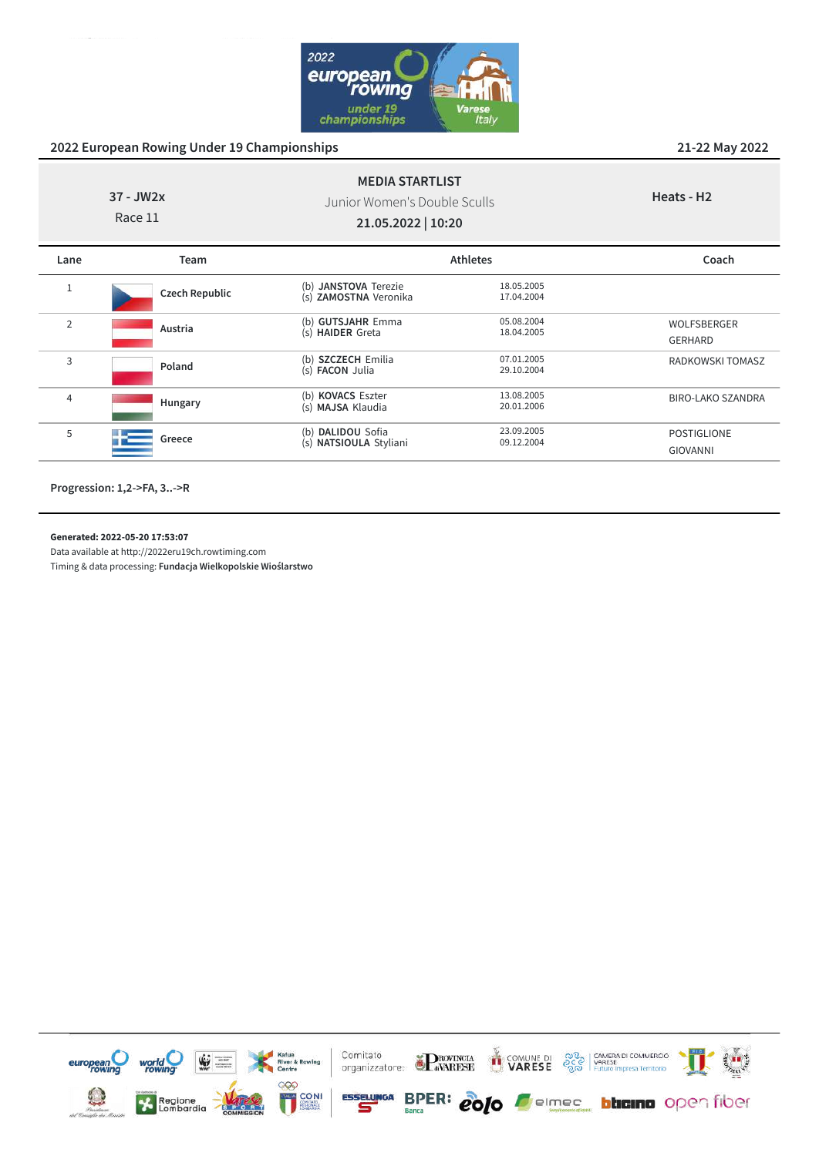

| $37 - JW2x$<br>Race 11 |                | <b>MEDIA STARTLIST</b><br>Junior Women's Double Sculls<br>21.05.2022   10:20 |                          | Heats - H <sub>2</sub>                |
|------------------------|----------------|------------------------------------------------------------------------------|--------------------------|---------------------------------------|
| Lane                   | Team           |                                                                              | <b>Athletes</b>          | Coach                                 |
| $1\,$                  | Czech Republic | (b) JANSTOVA Terezie<br>(s) ZAMOSTNA Veronika                                | 18.05.2005<br>17.04.2004 |                                       |
| $\overline{2}$         | Austria        | (b) GUTSJAHR Emma<br>(s) HAIDER Greta                                        | 05.08.2004<br>18.04.2005 | <b>WOLFSBERGER</b><br>GERHARD         |
| 3                      | Poland         | (b) SZCZECH Emilia<br>(s) <b>FACON</b> Julia                                 | 07.01.2005<br>29.10.2004 | <b>RADKOWSKI TOMASZ</b>               |
| $\overline{4}$         | Hungary        | (b) <b>KOVACS</b> Eszter<br>(s) MAJSA Klaudia                                | 13.08.2005<br>20.01.2006 | <b>BIRO-LAKO SZANDRA</b>              |
| 5                      | Greece         | (b) DALIDOU Sofia<br>(s) NATSIOULA Styliani                                  | 23.09.2005<br>09.12.2004 | <b>POSTIGLIONE</b><br><b>GIOVANNI</b> |

**Progression: 1,2->FA, 3..->R**

#### **Generated: 2022-05-20 17:53:07**

Data available at http://2022eru19ch.rowtiming.com

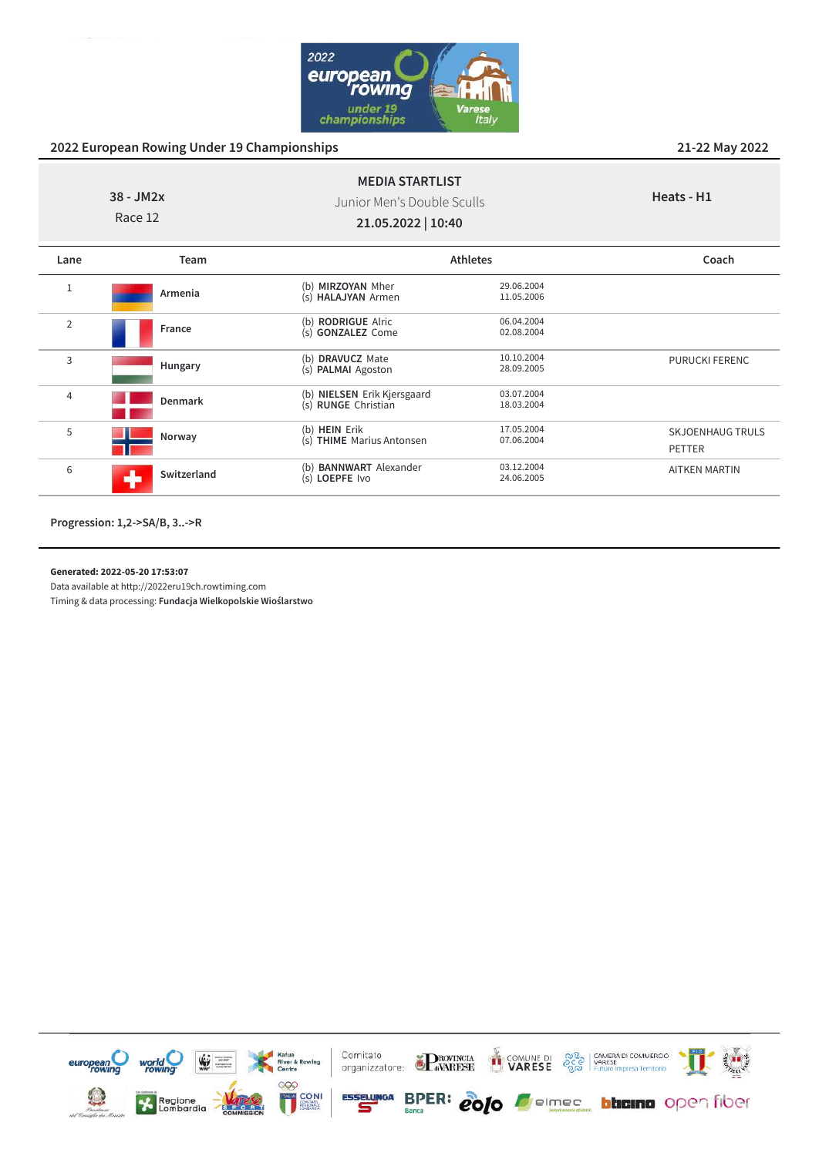

| <b>Athletes</b>          | Coach                                                                                                                                                                                                                                                                               |
|--------------------------|-------------------------------------------------------------------------------------------------------------------------------------------------------------------------------------------------------------------------------------------------------------------------------------|
| 29.06.2004<br>11.05.2006 |                                                                                                                                                                                                                                                                                     |
| 06.04.2004<br>02.08.2004 |                                                                                                                                                                                                                                                                                     |
| 10.10.2004<br>28.09.2005 | <b>PURUCKI FERENC</b>                                                                                                                                                                                                                                                               |
| 03.07.2004<br>18.03.2004 |                                                                                                                                                                                                                                                                                     |
| 17.05.2004<br>07.06.2004 | <b>SKJOENHAUG TRULS</b><br>PETTER                                                                                                                                                                                                                                                   |
| 03.12.2004<br>24.06.2005 | <b>AITKEN MARTIN</b>                                                                                                                                                                                                                                                                |
|                          | (b) MIRZOYAN Mher<br>(s) HALAJYAN Armen<br>(b) RODRIGUE Alric<br>(s) GONZALEZ Come<br>(b) DRAVUCZ Mate<br>(s) PALMAI Agoston<br>(b) NIELSEN Erik Kjersgaard<br>(s) RUNGE Christian<br>(b) HEIN Erik<br>(s) THIME Marius Antonsen<br>(b) <b>BANNWART</b> Alexander<br>(s) LOEPFE Ivo |

**Progression: 1,2->SA/B, 3..->R**

#### **Generated: 2022-05-20 17:53:07**

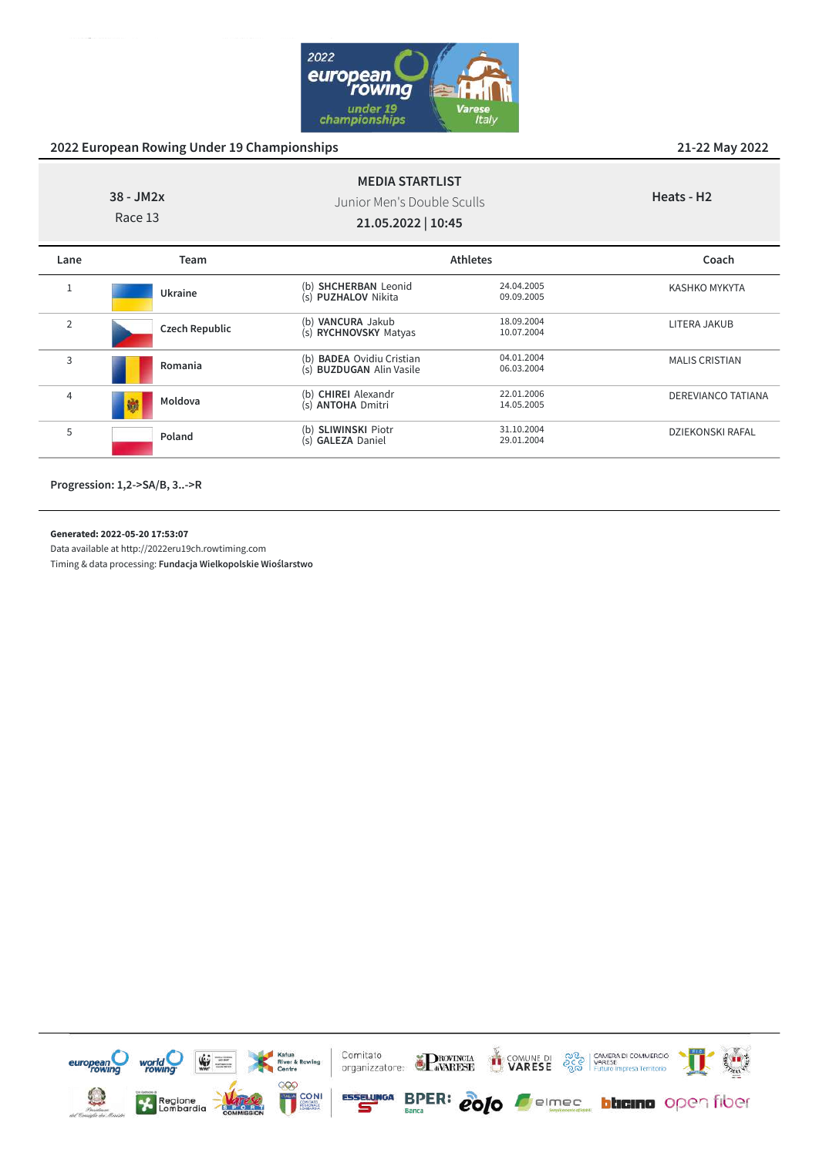

| $38 - JM2x$<br>Race 13 |                       | <b>MEDIA STARTLIST</b><br>Junior Men's Double Sculls<br>21.05.2022   10:45 |                          | Heats - H <sub>2</sub>    |
|------------------------|-----------------------|----------------------------------------------------------------------------|--------------------------|---------------------------|
| Lane                   | Team                  |                                                                            | <b>Athletes</b>          | Coach                     |
| $\mathbf{1}$           | Ukraine               | (b) SHCHERBAN Leonid<br>(s) PUZHALOV Nikita                                | 24.04.2005<br>09.09.2005 | KASHKO MYKYTA             |
| $\overline{2}$         | <b>Czech Republic</b> | (b) VANCURA Jakub<br>(s) RYCHNOVSKY Matyas                                 | 18.09.2004<br>10.07.2004 | LITERA JAKUB              |
| 3                      | Romania               | (b) <b>BADEA</b> Ovidiu Cristian<br>(s) BUZDUGAN Alin Vasile               | 04.01.2004<br>06.03.2004 | <b>MALIS CRISTIAN</b>     |
| 4                      | Moldova<br>聯          | (b) CHIREI Alexandr<br>(s) <b>ANTOHA</b> Dmitri                            | 22.01.2006<br>14.05.2005 | <b>DEREVIANCO TATIANA</b> |
| 5                      | Poland                | (b) SLIWINSKI Piotr<br>(s) GALEZA Daniel                                   | 31.10.2004<br>29.01.2004 | <b>DZIEKONSKI RAFAL</b>   |
|                        |                       |                                                                            |                          |                           |

**Progression: 1,2->SA/B, 3..->R**

#### **Generated: 2022-05-20 17:53:07**

Data available at http://2022eru19ch.rowtiming.com

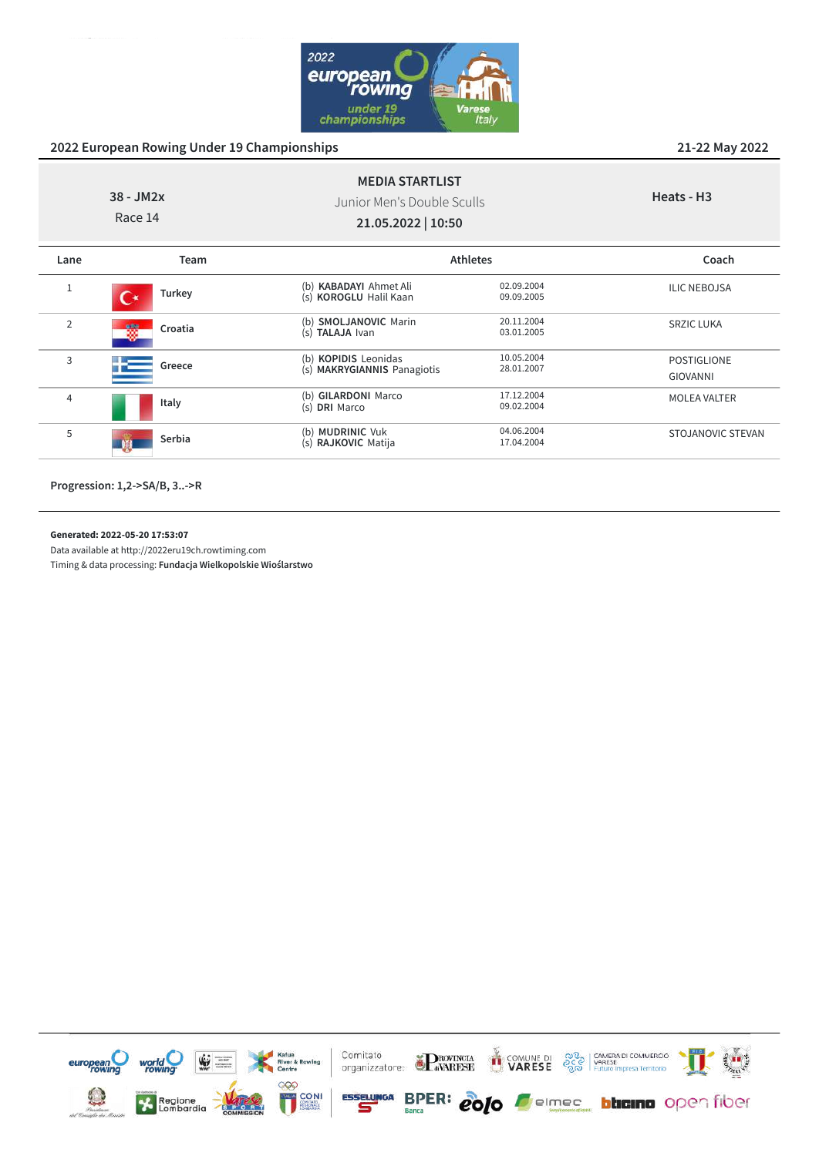

| $38 - JM2x$<br>Race 14 |               | <b>MEDIA STARTLIST</b><br>Junior Men's Double Sculls<br>21.05.2022   10:50 |                          | Heats - H <sub>3</sub>                |
|------------------------|---------------|----------------------------------------------------------------------------|--------------------------|---------------------------------------|
| Lane                   | Team          |                                                                            | <b>Athletes</b>          | Coach                                 |
| $\mathbf{1}$           | Turkey<br>r * | (b) KABADAYI Ahmet Ali<br>(s) KOROGLU Halil Kaan                           | 02.09.2004<br>09.09.2005 | <b>ILIC NEBOJSA</b>                   |
| $\overline{2}$         | Croatia       | (b) SMOLJANOVIC Marin<br>(s) TALAJA Ivan                                   | 20.11.2004<br>03.01.2005 | <b>SRZIC LUKA</b>                     |
| 3                      | Greece        | (b) KOPIDIS Leonidas<br>(s) MAKRYGIANNIS Panagiotis                        | 10.05.2004<br>28.01.2007 | <b>POSTIGLIONE</b><br><b>GIOVANNI</b> |
| $\overline{4}$         | Italy         | (b) GILARDONI Marco<br>(s) DRI Marco                                       | 17.12.2004<br>09.02.2004 | <b>MOLEA VALTER</b>                   |
| 5                      | Serbia        | (b) <b>MUDRINIC</b> Vuk<br>(s) RAJKOVIC Matija                             | 04.06.2004<br>17.04.2004 | STOJANOVIC STEVAN                     |

**Progression: 1,2->SA/B, 3..->R**

#### **Generated: 2022-05-20 17:53:07**

Data available at http://2022eru19ch.rowtiming.com

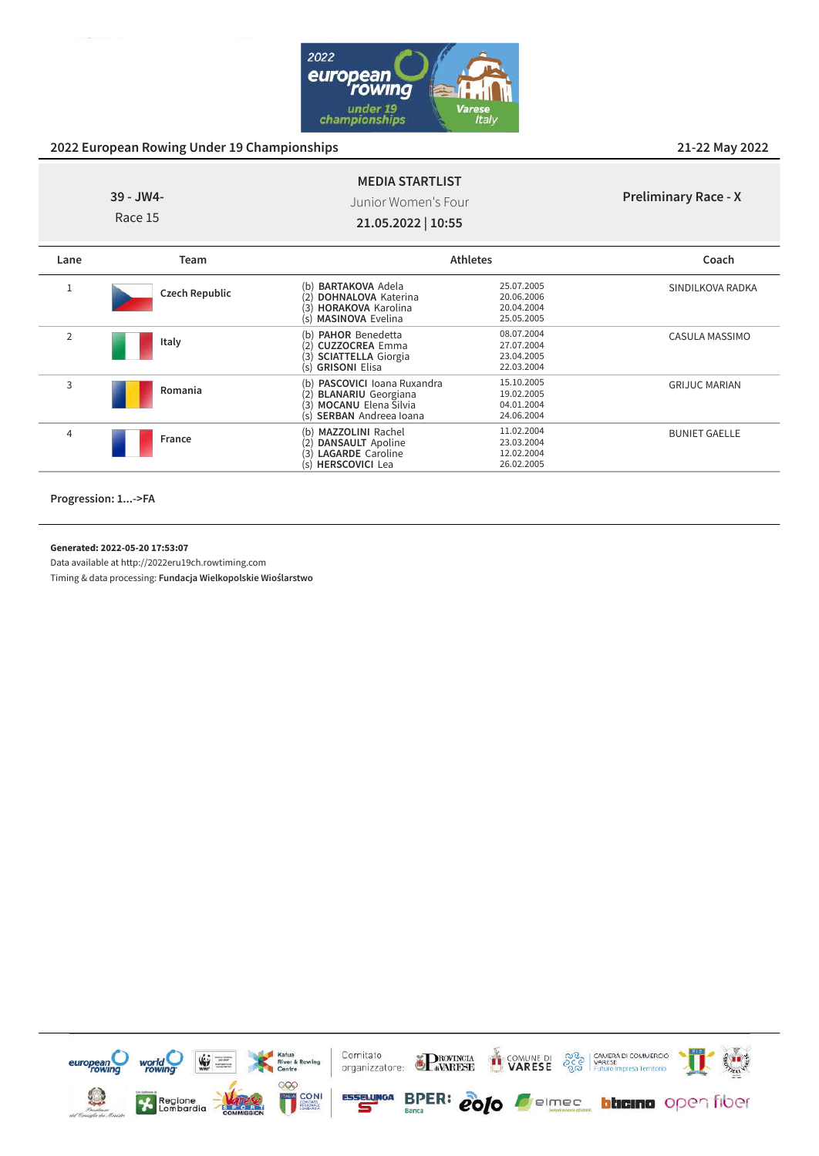

|      | $39 - JWA -$<br>Race 15 | <b>MEDIA STARTLIST</b><br>Junior Women's Four<br>21.05.2022   10:55                                                                         |                                                      | <b>Preliminary Race - X</b> |
|------|-------------------------|---------------------------------------------------------------------------------------------------------------------------------------------|------------------------------------------------------|-----------------------------|
| Lane | Team                    |                                                                                                                                             | <b>Athletes</b>                                      | Coach                       |
| 1    | <b>Czech Republic</b>   | <b>BARTAKOVA Adela</b><br>(b)<br><b>DOHNALOVA Katerina</b><br>2<br>(3)<br><b>HORAKOVA Karolina</b><br><b>MASINOVA Evelina</b><br>(s)        | 25.07.2005<br>20.06.2006<br>20.04.2004<br>25.05.2005 | SINDILKOVA RADKA            |
| 2    | Italy                   | <b>PAHOR Benedetta</b><br>(b)<br><b>CUZZOCREA</b> Emma<br>(2)<br>(3)<br><b>SCIATTELLA Giorgia</b><br>(s) GRISONI Elisa                      | 08.07.2004<br>27.07.2004<br>23.04.2005<br>22.03.2004 | CASULA MASSIMO              |
| 3    | Romania                 | (b) PASCOVICI Ioana Ruxandra<br>(2)<br><b>BLANARIU</b> Georgiana<br><b>MOCANU</b> Elena Silvia<br>(3)<br><b>SERBAN</b> Andreea Ioana<br>(s) | 15.10.2005<br>19.02.2005<br>04.01.2004<br>24.06.2004 | <b>GRIJUC MARIAN</b>        |
| 4    | France                  | (b) MAZZOLINI Rachel<br>(2)<br><b>DANSAULT</b> Apoline<br><b>LAGARDE</b> Caroline<br>(3)<br>(s) HERSCOVICI Lea                              | 11.02.2004<br>23.03.2004<br>12.02.2004<br>26.02.2005 | <b>BUNIET GAELLE</b>        |

**Progression: 1...->FA**

#### **Generated: 2022-05-20 17:53:07**

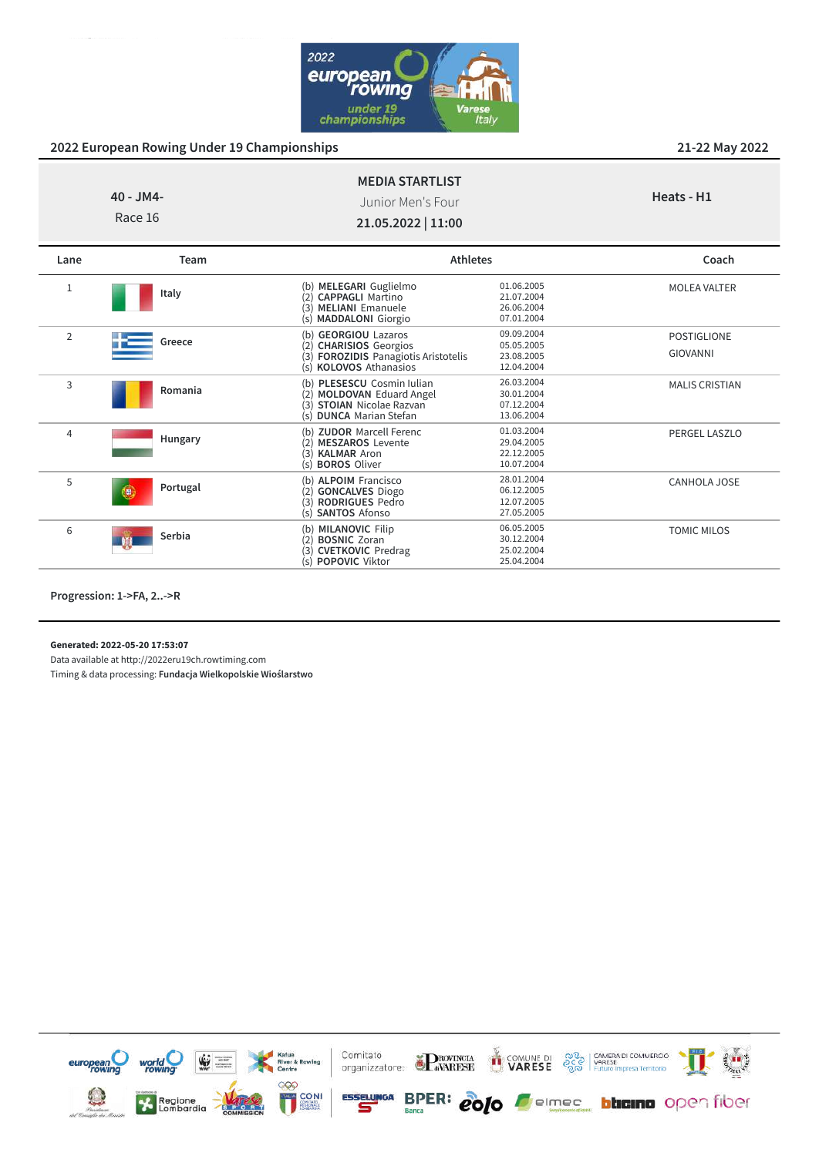

TOMIC MILOS

|                | $40 - JMA -$<br>Race 16 | <b>MEDIA STARTLIST</b><br>Junior Men's Four<br>21.05.2022   11:00                                                          |                                                      | Heats - H1                            |
|----------------|-------------------------|----------------------------------------------------------------------------------------------------------------------------|------------------------------------------------------|---------------------------------------|
| Lane           | Team                    | <b>Athletes</b>                                                                                                            |                                                      | Coach                                 |
| $\mathbf{1}$   | Italy                   | (b) MELEGARI Guglielmo<br><b>CAPPAGLI Martino</b><br>(2)<br><b>MELIANI</b> Emanuele<br>(3)<br>(s) MADDALONI Giorgio        | 01.06.2005<br>21.07.2004<br>26.06.2004<br>07.01.2004 | <b>MOLEA VALTER</b>                   |
| $\overline{2}$ | Greece                  | (b) GEORGIOU Lazaros<br>(2) CHARISIOS Georgios<br><b>FOROZIDIS</b> Panagiotis Aristotelis<br>(3)<br>(s) KOLOVOS Athanasios | 09.09.2004<br>05.05.2005<br>23.08.2005<br>12.04.2004 | <b>POSTIGLIONE</b><br><b>GIOVANNI</b> |
| 3              | Romania                 | (b) PLESESCU Cosmin Iulian<br>(2) MOLDOVAN Eduard Angel<br><b>STOIAN</b> Nicolae Razvan<br>(3)<br>(s) DUNCA Marian Stefan  | 26.03.2004<br>30.01.2004<br>07.12.2004<br>13.06.2004 | <b>MALIS CRISTIAN</b>                 |
| 4              | Hungary                 | (b) ZUDOR Marcell Ferenc<br>(2) MESZAROS Levente<br>(3) KALMAR Aron<br><b>BOROS Oliver</b><br>(s)                          | 01.03.2004<br>29.04.2005<br>22.12.2005<br>10.07.2004 | PERGEL LASZLO                         |
| 5              | Portugal<br>69.         | (b) ALPOIM Francisco<br>(2) GONCALVES Diogo<br><b>RODRIGUES Pedro</b><br>(3)                                               | 28.01.2004<br>06.12.2005<br>12.07.2005               | CANHOLA JOSE                          |

(s) **SANTOS** Afonso 27.05.2005

(b) **MILANOVIC** Filip 06.05.2005<br>(2) **BOSNIC** Zoran 30.12.2004 (2) **BOSNIC** Zoran 30.12.2004 (3) **CVETKOVIC** Predrag 25.02.2004  $(s)$  **POPOVIC** Viktor  $(100)(s)$  25.04.2004

**Progression: 1->FA, 2..->R**

<sup>6</sup> **Serbia**

**Generated: 2022-05-20 17:53:07**

Data available at http://2022eru19ch.rowtiming.com

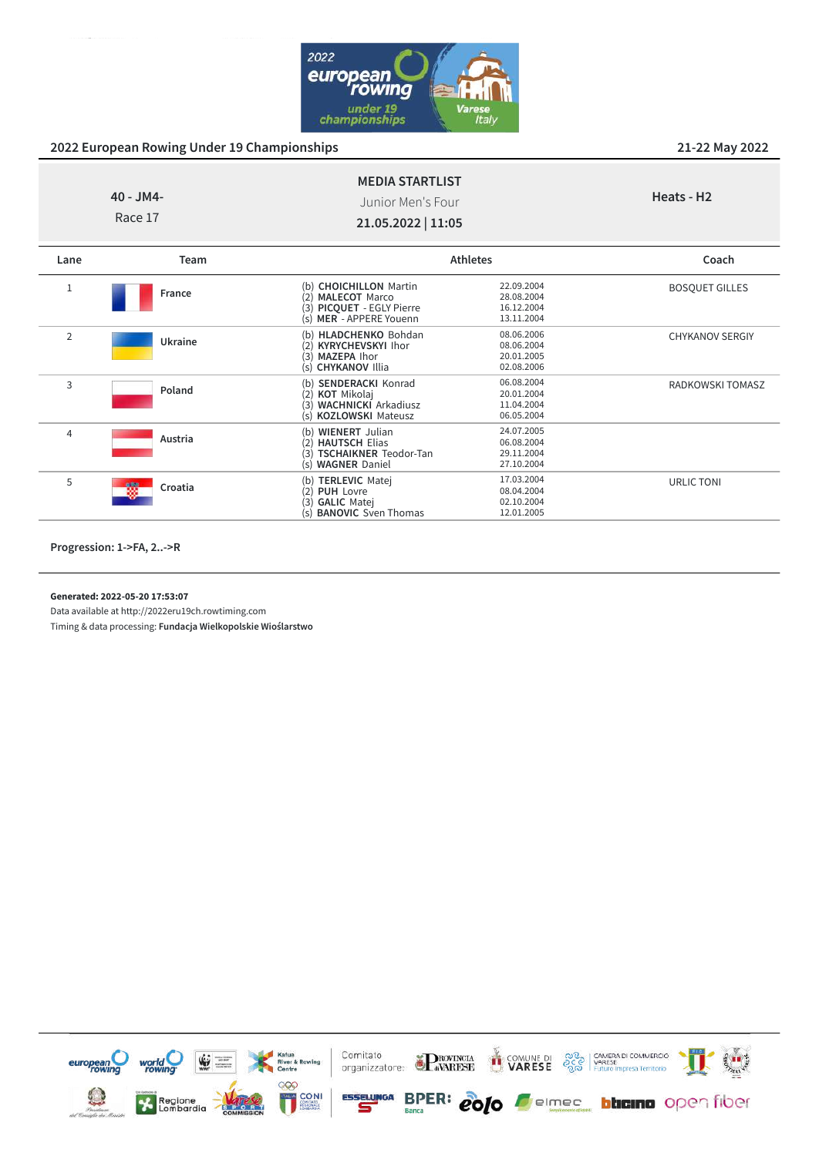

URLIC TONI

| $40 - JM4 -$<br>Race 17 |         | <b>MEDIA STARTLIST</b><br>Junior Men's Four<br>21.05.2022   11:05                                                |                                                      | Heats - H <sub>2</sub> |
|-------------------------|---------|------------------------------------------------------------------------------------------------------------------|------------------------------------------------------|------------------------|
| Lane                    | Team    |                                                                                                                  | <b>Athletes</b>                                      | Coach                  |
| 1                       | France  | (b) CHOICHILLON Martin<br><b>MALECOT Marco</b><br>(2)<br>PICQUET - EGLY Pierre<br>(3)<br>(s) MER - APPERE Youenn | 22.09.2004<br>28.08.2004<br>16.12.2004<br>13.11.2004 | <b>BOSQUET GILLES</b>  |
| $\overline{2}$          | Ukraine | (b) HLADCHENKO Bohdan<br><b>KYRYCHEVSKYI Ihor</b><br>(2)<br>MAZEPA Ihor<br>3)<br>(s) CHYKANOV Illia              | 08.06.2006<br>08.06.2004<br>20.01.2005<br>02.08.2006 | <b>CHYKANOV SERGIY</b> |
| 3                       | Poland  | (b) SENDERACKI Konrad<br><b>KOT</b> Mikolaj<br>(2)<br><b>WACHNICKI</b> Arkadiusz<br>(3)<br>(s) KOZLOWSKI Mateusz | 06.08.2004<br>20.01.2004<br>11.04.2004<br>06.05.2004 | RADKOWSKI TOMASZ       |
| $\overline{4}$          | Austria | (b) WIENERT Julian<br><b>HAUTSCH Elias</b><br>(2)<br><b>TSCHAIKNER Teodor-Tan</b><br>(3)<br>(s) WAGNER Daniel    | 24.07.2005<br>06.08.2004<br>29.11.2004<br>27.10.2004 |                        |

(b) **TERLEVIC** Matej 17.03.2004 (2) **PUH** Lovre 08.04.2004 (3) **GALIC** Matej 02.10.2004 (s) **BANOVIC** Sven Thomas 12.01.2005

**Progression: 1->FA, 2..->R**

<sup>5</sup> **Croatia**

**Generated: 2022-05-20 17:53:07**

Data available at http://2022eru19ch.rowtiming.com

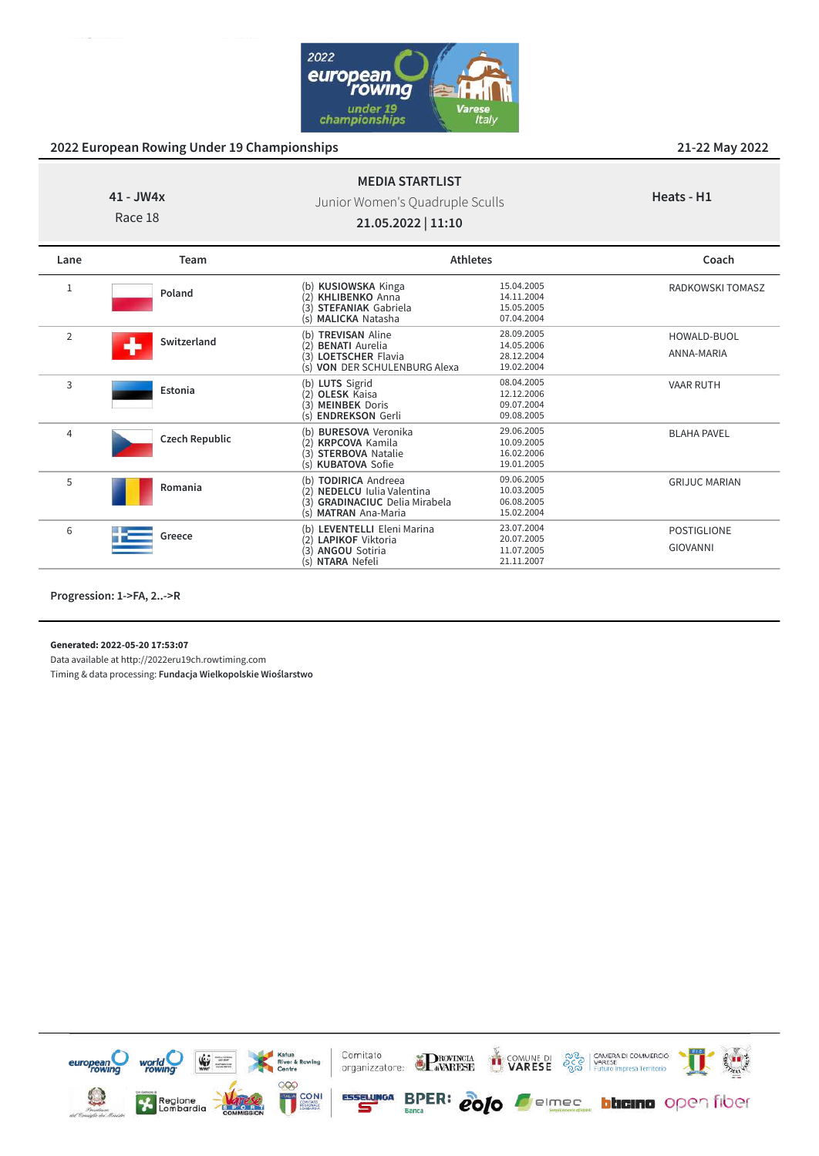

#### **41 - JW4x** Race 18 **MEDIA STARTLIST** Junior Women's Quadruple Sculls **21.05.2022 | 11:10 Heats - H1 Lane Team Athletes Coach** <sup>1</sup> **Poland** (b) **KUSIOWSKA** Kinga 15.04.2005<br>(2) **KHLIBENKO** Anna 14.11.2004 (2) **KHLIBENKO** Anna 14.11.2004 (3) **STEFANIAK** Gabriela 15.05.2005 (s) **MALICKA** Natasha 07.04.2004 RADKOWSKI TOMASZ

| $\overline{2}$ | Switzerland           | <b>TREVISAN Aline</b><br>(b)<br><b>BENATI</b> Aurelia<br><b>LOETSCHER Flavia</b><br>3)<br>(s) VON DER SCHULENBURG Alexa          | 28.09.2005<br>14.05.2006<br>28.12.2004<br>19.02.2004 | HOWALD-BUOL<br>ANNA-MARIA             |
|----------------|-----------------------|----------------------------------------------------------------------------------------------------------------------------------|------------------------------------------------------|---------------------------------------|
| 3              | Estonia               | (b) LUTS Sigrid<br><b>OLESK Kaisa</b><br>$\left( 2\right)$<br><b>MEINBEK Doris</b><br>(3)<br>(s) <b>ENDREKSON</b> Gerli          | 08.04.2005<br>12.12.2006<br>09.07.2004<br>09.08.2005 | <b>VAAR RUTH</b>                      |
| $\overline{4}$ | <b>Czech Republic</b> | <b>BURESOVA Veronika</b><br>(b)<br><b>KRPCOVA Kamila</b><br>(2)<br><b>STERBOVA Natalie</b><br>(3)<br>(s) KUBATOVA Sofie          | 29.06.2005<br>10.09.2005<br>16.02.2006<br>19.01.2005 | <b>BLAHA PAVEL</b>                    |
| 5              | Romania               | <b>TODIRICA</b> Andreea<br>(b)<br>(2) NEDELCU Iulia Valentina<br><b>GRADINACIUC</b> Delia Mirabela<br>3)<br>(s) MATRAN Ana-Maria | 09.06.2005<br>10.03.2005<br>06.08.2005<br>15.02.2004 | <b>GRIJUC MARIAN</b>                  |
| 6              | Greece                | (b) LEVENTELLI Eleni Marina<br><b>LAPIKOF Viktoria</b><br><b>ANGOU Sotiria</b><br>3)<br>NTARA Nefeli<br>(s)                      | 23.07.2004<br>20.07.2005<br>11.07.2005<br>21.11.2007 | <b>POSTIGLIONE</b><br><b>GIOVANNI</b> |

**Progression: 1->FA, 2..->R**

**Generated: 2022-05-20 17:53:07**

Data available at http://2022eru19ch.rowtiming.com

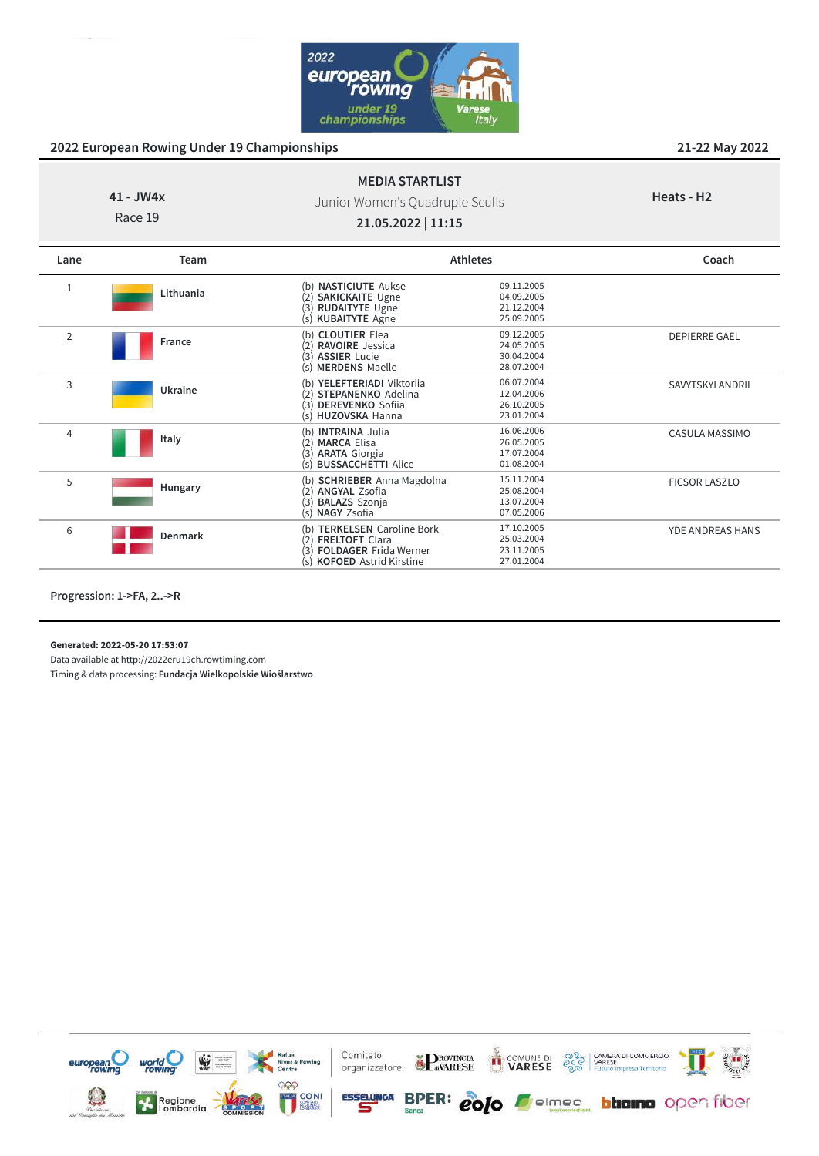

|      | <b>MEDIA STARTLIST</b><br>41 - JW4x<br>Junior Women's Quadruple Sculls<br>Race 19<br>21.05.2022   11:15 |                 | Heats - H <sub>2</sub> |
|------|---------------------------------------------------------------------------------------------------------|-----------------|------------------------|
| Lane | Team                                                                                                    | <b>Athletes</b> | Coach                  |

| 1              | Lithuania      | (b) <b>NASTICIUTE</b> Aukse<br><b>SAKICKAITE Ugne</b><br><b>RUDAITYTE Ugne</b><br>(3)<br>(s) KUBAITYTE Agne                   | 09.11.2005<br>04.09.2005<br>21.12.2004<br>25.09.2005 |                         |
|----------------|----------------|-------------------------------------------------------------------------------------------------------------------------------|------------------------------------------------------|-------------------------|
| $\overline{2}$ | France         | (b) CLOUTIER Elea<br><b>RAVOIRE</b> Jessica<br>ר?<br><b>ASSIER Lucie</b><br>3)<br>(s) MERDENS Maelle                          | 09.12.2005<br>24.05.2005<br>30.04.2004<br>28.07.2004 | <b>DEPIERRE GAEL</b>    |
| 3              | Ukraine        | (b) YELEFTERIADI Viktoriia<br><b>STEPANENKO</b> Adelina<br><b>DEREVENKO</b> Sofiia<br>(3)<br>(s) HUZOVSKA Hanna               | 06.07.2004<br>12.04.2006<br>26.10.2005<br>23.01.2004 | SAVYTSKYI ANDRII        |
| 4              | Italy          | (b) <b>INTRAINA</b> Julia<br><b>MARCA Elisa</b><br>(2)<br>(3) <b>ARATA</b> Giorgia<br>(s) <b>BUSSACCHETTI</b> Alice           | 16.06.2006<br>26.05.2005<br>17.07.2004<br>01.08.2004 | CASULA MASSIMO          |
| 5              | Hungary        | (b) SCHRIEBER Anna Magdolna<br>(2) ANGYAL Zsofia<br><b>BALAZS</b> Szonja<br>3)<br>(s) NAGY Zsofia                             | 15.11.2004<br>25.08.2004<br>13.07.2004<br>07.05.2006 | <b>FICSOR LASZLO</b>    |
| 6              | <b>Denmark</b> | (b) TERKELSEN Caroline Bork<br>(2) FRELTOFT Clara<br><b>FOLDAGER Frida Werner</b><br>(3)<br>(s) <b>KOFOED</b> Astrid Kirstine | 17.10.2005<br>25.03.2004<br>23.11.2005<br>27.01.2004 | <b>YDE ANDREAS HANS</b> |

**Progression: 1->FA, 2..->R**

**Generated: 2022-05-20 17:53:07**

Data available at http://2022eru19ch.rowtiming.com

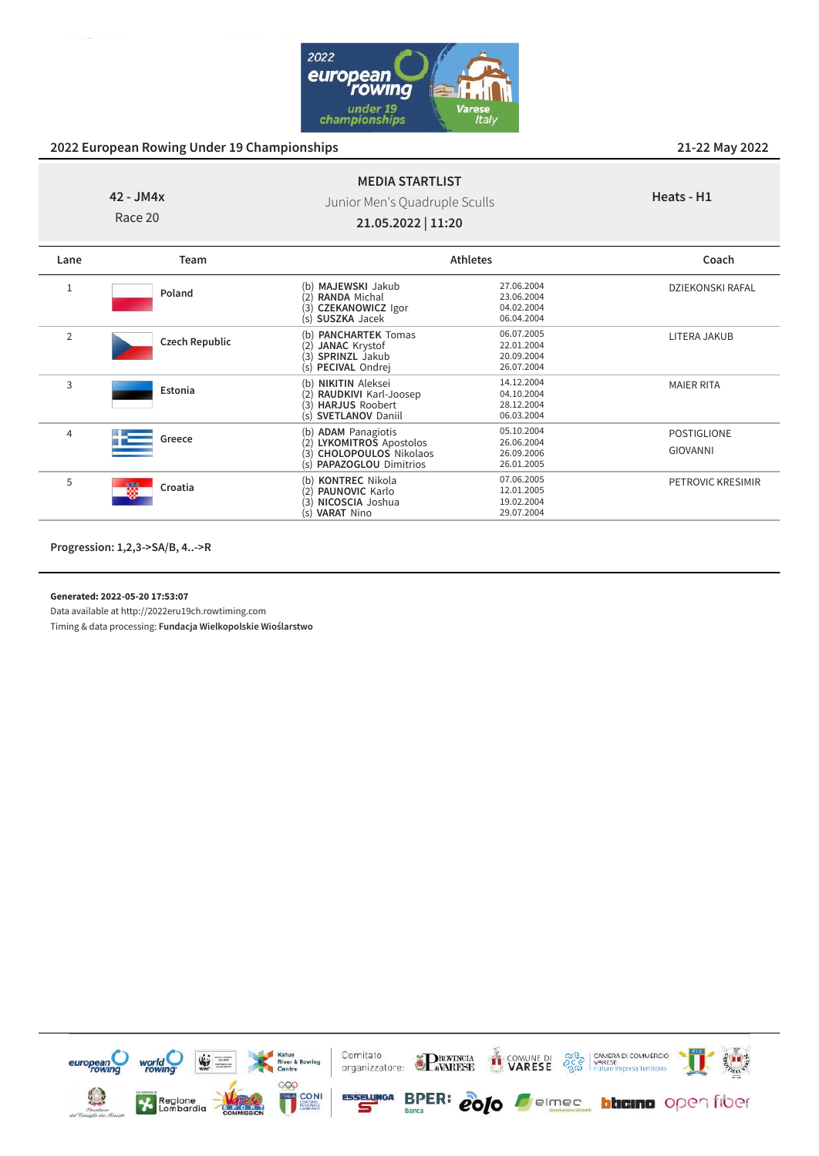

#### **42 - JM4x** Race 20 **MEDIA STARTLIST** Junior Men's Quadruple Sculls **21.05.2022 | 11:20 Heats - H1**

| Lane | Team                  |                                                                                                                                | <b>Athletes</b>                                      | Coach                          |
|------|-----------------------|--------------------------------------------------------------------------------------------------------------------------------|------------------------------------------------------|--------------------------------|
|      | Poland                | MAJEWSKI Jakub<br>(b)<br><b>RANDA Michal</b><br>(2)<br><b>CZEKANOWICZ Igor</b><br>(3)<br><b>SUSZKA Jacek</b><br>(s)            | 27.06.2004<br>23.06.2004<br>04.02.2004<br>06.04.2004 | <b>DZIEKONSKI RAFAL</b>        |
| 2    | <b>Czech Republic</b> | <b>PANCHARTEK Tomas</b><br>(b)<br><b>JANAC Krystof</b><br>(2)<br>SPRINZL Jakub<br>(3)<br>(s) PECIVAL Ondrej                    | 06.07.2005<br>22.01.2004<br>20.09.2004<br>26.07.2004 | LITERA JAKUB                   |
| 3    | Estonia               | <b>NIKITIN Aleksei</b><br>(b)<br>RAUDKIVI Karl-Joosep<br>(2)<br><b>HARJUS Roobert</b><br>3)<br><b>SVETLANOV Daniil</b><br>(s)  | 14.12.2004<br>04.10.2004<br>28.12.2004<br>06.03.2004 | <b>MAIER RITA</b>              |
| 4    | Greece                | <b>ADAM</b> Panagiotis<br>(b)<br>LYKOMITROS Apostolos<br>(2)<br><b>CHOLOPOULOS Nikolaos</b><br>(3)<br>(s) PAPAZOGLOU Dimitrios | 05.10.2004<br>26.06.2004<br>26.09.2006<br>26.01.2005 | POSTIGLIONE<br><b>GIOVANNI</b> |
| 5    | ₩<br>Croatia          | <b>KONTREC Nikola</b><br>(b)<br><b>PAUNOVIC Karlo</b><br>(2)<br>NICOSCIA Joshua<br>3)<br><b>VARAT Nino</b><br>(s)              | 07.06.2005<br>12.01.2005<br>19.02.2004<br>29.07.2004 | PETROVIC KRESIMIR              |

**Progression: 1,2,3->SA/B, 4..->R**

**Generated: 2022-05-20 17:53:07**

Data available at http://2022eru19ch.rowtiming.com

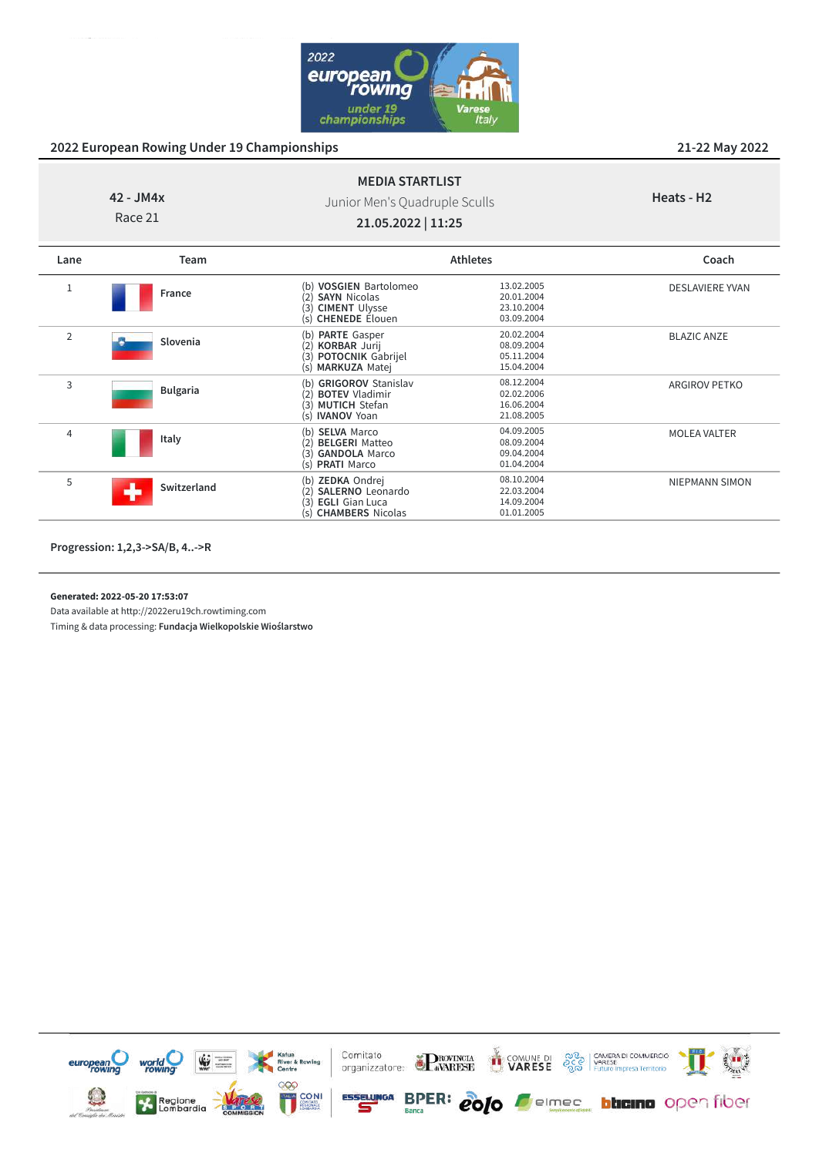

BLAZIC ANZE

ARGIROV PETKO

MOLEA VALTER

NIEPMANN SIMON

| 42 - JM4x<br>Race 21 |        | <b>MEDIA STARTLIST</b>                                                                          | Junior Men's Quadruple Sculls<br>21.05.2022   11:25  |                        |
|----------------------|--------|-------------------------------------------------------------------------------------------------|------------------------------------------------------|------------------------|
| Lane                 | Team   |                                                                                                 | <b>Athletes</b>                                      | Coach                  |
|                      | France | (b) VOSGIEN Bartolomeo<br>(2)<br><b>SAYN Nicolas</b><br>(3) CIMENT Ulysse<br>(s) CHENEDE Elouen | 13.02.2005<br>20.01.2004<br>23.10.2004<br>03.09.2004 | <b>DESLAVIERE YVAN</b> |

(b) **PARTE** Gasper 20.02.2004 (2) **KORBAR** Jurij 08.09.2004<br>(3) **POTOCNIK** Gabrijel 05.11.2004 (3) **POTOCNIK** Gabrijel 05.11.2004 (s) **MARKUZA** Matej 15.04.2004

(b) **GRIGOROV** Stanislav 08.12.2004 (2) **BOTEV** Vladimir 02.02.2006 (3) **MUTICH** Stefan 16.06.2004 (3) **INUTICH** Stefan 216.06.2004 (s) **IVANOV** Yoan 21.08.2005

(b) **SELVA** Marco 04.09.2005 (2) **BELGERI** Matteo 08.09.2004 **GANDOLA** Marco 09.04.2004<br> **PRATI** Marco 01.04.2004

(b) **ZEDKA** Ondrej 08.10.2004 (2) **SALERNO** Leonardo 22.03.2004 (3) **EGLI** Gian Luca 14.09.2004<br>(5) **CHAMBERS** Nicolas 01.01.2005

(3) **GANDOLA** Ma<br>(s) **PRATI** Marco

(s) **CHAMBERS** Nicolas

| Progression: 1,2,3->SA/B, 4->R |  |
|--------------------------------|--|

<sup>5</sup> **Switzerland**

<sup>2</sup> **Slovenia**

<sup>3</sup> **Bulgaria**

4

**Generated: 2022-05-20 17:53:07**

Data available at http://2022eru19ch.rowtiming.com

**Italy**

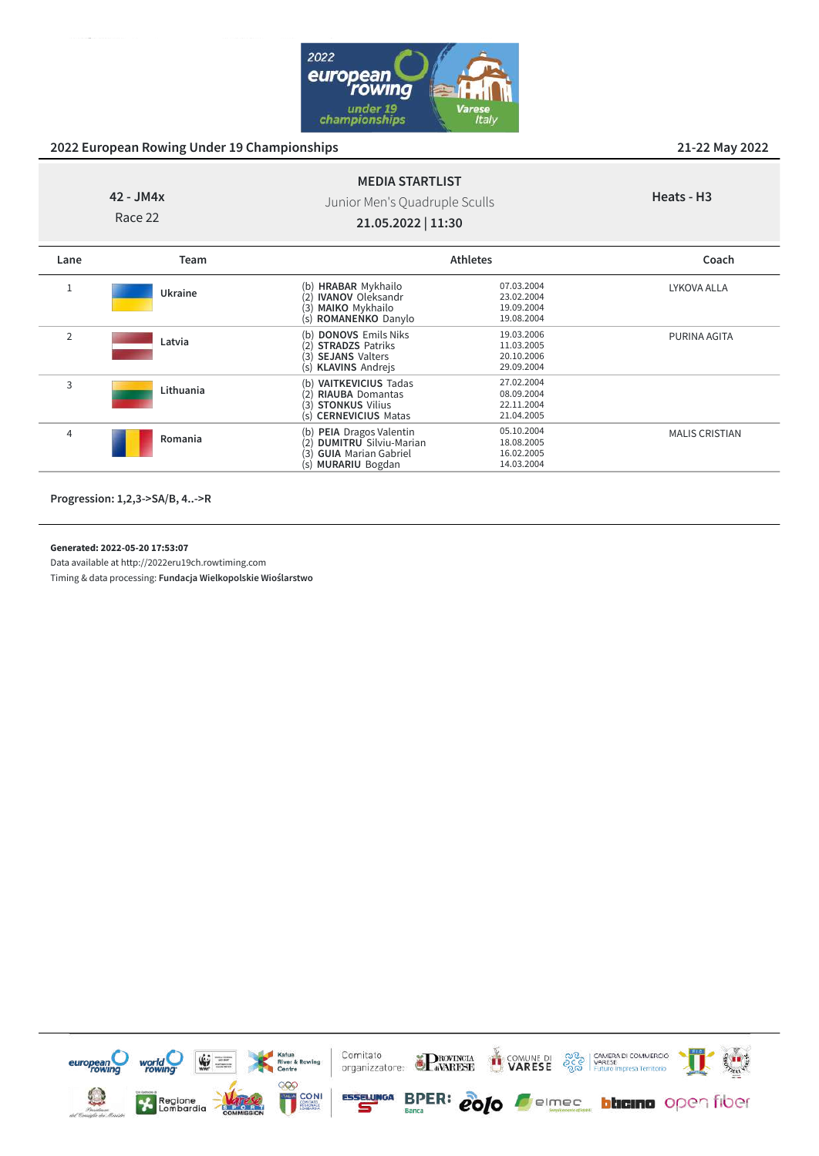

MALIS CRISTIAN

|                | $42 - JM4x$<br>Race 22 | <b>MEDIA STARTLIST</b><br>Junior Men's Quadruple Sculls<br>21.05.2022   11:30                                           |                                                      | Heats - H <sub>3</sub> |
|----------------|------------------------|-------------------------------------------------------------------------------------------------------------------------|------------------------------------------------------|------------------------|
| Lane           | Team                   |                                                                                                                         | <b>Athletes</b>                                      | Coach                  |
|                | Ukraine                | <b>HRABAR</b> Mykhailo<br>(b)<br><b>IVANOV Oleksandr</b><br>(2<br>MAIKO Mykhailo<br>(3)<br>(s) ROMANENKO Danylo         | 07.03.2004<br>23.02.2004<br>19.09.2004<br>19.08.2004 | LYKOVA ALLA            |
| $\overline{2}$ | Latvia                 | <b>DONOVS</b> Emils Niks<br>(b)<br><b>STRADZS Patriks</b><br>(2)<br><b>SEJANS Valters</b><br>(3)<br>(s) KLAVINS Andrejs | 19.03.2006<br>11.03.2005<br>20.10.2006<br>29.09.2004 | PURINA AGITA           |
| 3              | Lithuania              | (b) VAITKEVICIUS Tadas<br><b>RIAUBA</b> Domantas<br>(2)<br>(3)<br><b>STONKUS Vilius</b><br>(s) CERNEVICIUS Matas        | 27.02.2004<br>08.09.2004<br>22.11.2004<br>21.04.2005 |                        |

(b) **PEIA** Dragos Valentin 05.10.2004 (2) **DUMITRU** Silviu-Marian 18.08.2005 (3) **GUIA** Marian Gabriel 16.02.2005 (s) **MURARIU** Bogdan 14.03.2004

**Progression: 1,2,3->SA/B, 4..->R**

<sup>4</sup> **Romania**

#### **Generated: 2022-05-20 17:53:07**

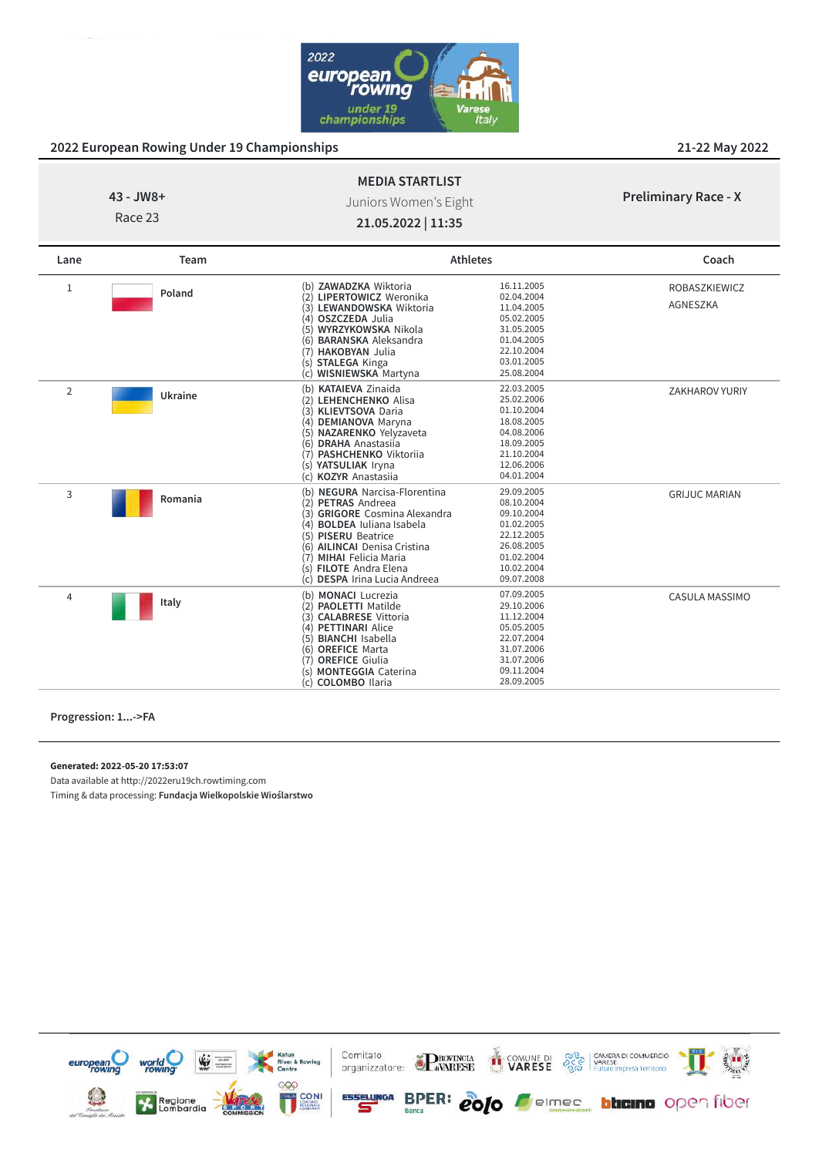

| 2022 European Rowing Under 19 Championships |              |                                                                                                                                                                                                                                                                 |                                                                                                                            | 21-22 May 2022              |
|---------------------------------------------|--------------|-----------------------------------------------------------------------------------------------------------------------------------------------------------------------------------------------------------------------------------------------------------------|----------------------------------------------------------------------------------------------------------------------------|-----------------------------|
|                                             |              | <b>MEDIA STARTLIST</b>                                                                                                                                                                                                                                          |                                                                                                                            |                             |
|                                             | $43 - JW8 +$ | Juniors Women's Eight                                                                                                                                                                                                                                           |                                                                                                                            | <b>Preliminary Race - X</b> |
|                                             | Race 23      | 21.05.2022   11:35                                                                                                                                                                                                                                              |                                                                                                                            |                             |
|                                             |              |                                                                                                                                                                                                                                                                 |                                                                                                                            |                             |
| Lane                                        | Team         | <b>Athletes</b>                                                                                                                                                                                                                                                 |                                                                                                                            | Coach                       |
| 1                                           | Poland       | (b) <b>ZAWADZKA</b> Wiktoria<br>(2) LIPERTOWICZ Weronika<br>(3) LEWANDOWSKA Wiktoria<br>(4) OSZCZEDA Julia<br>(5) WYRZYKOWSKA Nikola<br>(6) <b>BARANSKA</b> Aleksandra<br>(7) HAKOBYAN Julia<br>(s) STALEGA Kinga<br>(c) WISNIEWSKA Martyna                     | 16.11.2005<br>02.04.2004<br>11.04.2005<br>05.02.2005<br>31.05.2005<br>01.04.2005<br>22.10.2004<br>03.01.2005<br>25.08.2004 | ROBASZKIEWICZ<br>AGNESZKA   |
| $\overline{2}$                              | Ukraine      | (b) KATAIEVA Zinaida<br>(2) LEHENCHENKO Alisa<br>(3) KLIEVTSOVA Daria<br>(4) DEMIANOVA Maryna<br>(5) NAZARENKO Yelyzaveta<br>(6) DRAHA Anastasija<br>(7) PASHCHENKO Viktorija<br>(s) YATSULIAK Iryna<br>(c) KOZYR Anastasija                                    | 22.03.2005<br>25.02.2006<br>01.10.2004<br>18.08.2005<br>04.08.2006<br>18.09.2005<br>21.10.2004<br>12.06.2006<br>04.01.2004 | ZAKHAROV YURIY              |
| 3                                           | Romania      | (b) NEGURA Narcisa-Florentina<br>(2) PETRAS Andreea<br>(3) GRIGORE Cosmina Alexandra<br>(4) BOLDEA Iuliana Isabela<br>(5) PISERU Beatrice<br>(6) AILINCAI Denisa Cristina<br>(7) MIHAI Felicia Maria<br>(s) FILOTE Andra Elena<br>(c) DESPA Irina Lucia Andreea | 29.09.2005<br>08.10.2004<br>09.10.2004<br>01.02.2005<br>22.12.2005<br>26.08.2005<br>01.02.2004<br>10.02.2004<br>09.07.2008 | <b>GRIJUC MARIAN</b>        |
| $\overline{4}$                              | Italy        | (b) MONACI Lucrezia<br>(2) PAOLETTI Matilde<br>(3) CALABRESE Vittoria<br>(4) PETTINARI Alice<br>(5) BIANCHI Isabella<br>(6) OREFICE Marta<br><b>OREFICE Giulia</b><br>(7)<br>(s) MONTEGGIA Caterina                                                             | 07.09.2005<br>29.10.2006<br>11.12.2004<br>05.05.2005<br>22.07.2004<br>31.07.2006<br>31.07.2006<br>09.11.2004               | CASULA MASSIMO              |

(c) **COLOMBO** Ilaria 28.09.2005

**Progression: 1...->FA**

#### **Generated: 2022-05-20 17:53:07**

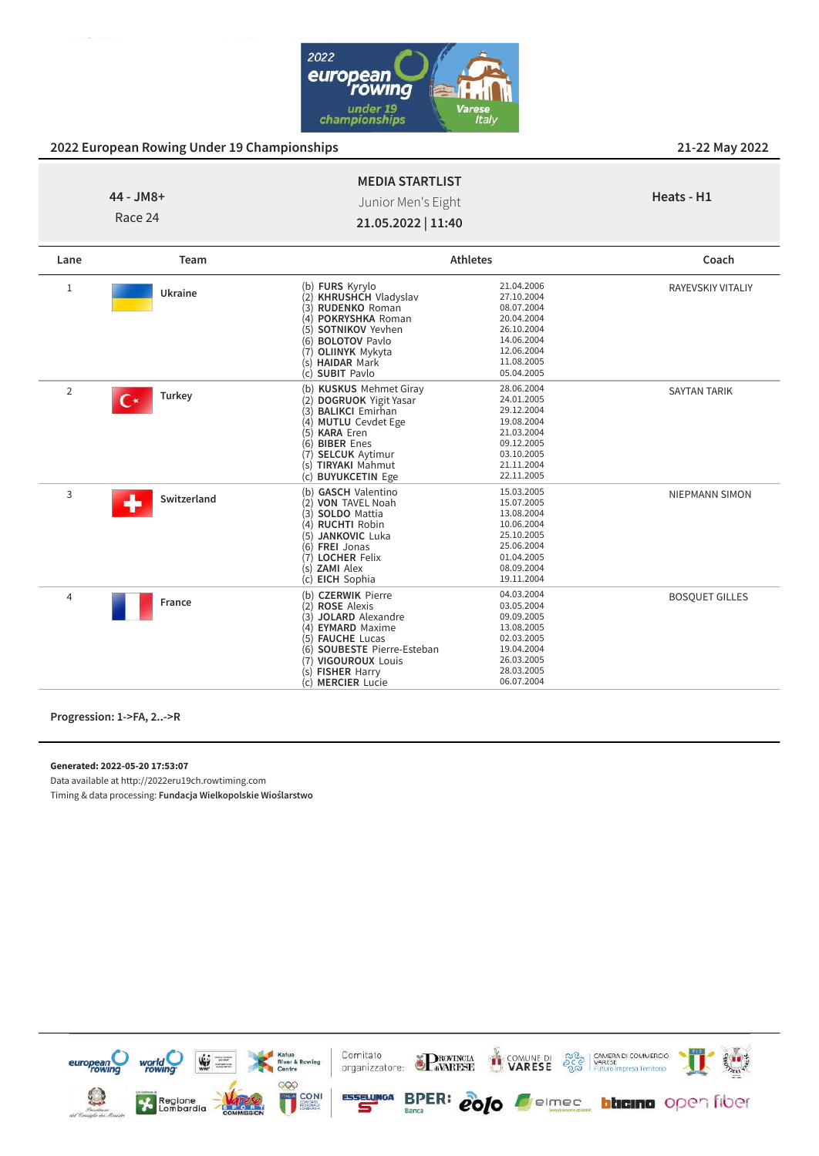

| <b>MEDIA STARTLIST</b><br>44 - JM8+<br>Junior Men's Eight<br>Race 24<br>21.05.2022   11:40 |         |                                                                                                 | Heats - H1                                           |                   |
|--------------------------------------------------------------------------------------------|---------|-------------------------------------------------------------------------------------------------|------------------------------------------------------|-------------------|
| Lane                                                                                       | Team    |                                                                                                 | <b>Athletes</b>                                      | Coach             |
|                                                                                            | Ukraine | (b) FURS Kyrylo<br>(2) KHRUSHCH Vladyslav<br>(3) RUDENKO Roman<br><b>POKRYSHKA Roman</b><br>(4) | 21.04.2006<br>27.10.2004<br>08.07.2004<br>20.04.2004 | RAYEVSKIY VITALIY |

| (5) SOTNIKOV Yevhen<br>(6) <b>BOLOTOV</b> Paylo<br>14.06.2004<br>(7) OLIINYK Mykyta<br>12.06.2004<br>11.08.2005<br><b>HAIDAR Mark</b><br>(S)<br><b>SUBIT Pavlo</b><br>05.04.2005<br>(c)<br>28.06.2004<br>(b) KUSKUS Mehmet Giray<br>$\overline{2}$<br><b>SAYTAN TARIK</b><br>Turkey<br>24.01.2005<br><b>DOGRUOK</b> Yigit Yasar<br>29.12.2004<br><b>BALIKCI</b> Emirhan<br>(3)<br>19.08.2004<br>(4) MUTLU Cevdet Ege<br>21.03.2004<br>(5) KARA Eren<br>09.12.2005<br>(6) BIBER Enes<br>03.10.2005<br><b>SELCUK</b> Aytimur<br><b>TIRYAKI Mahmut</b><br>21.11.2004<br>(s)<br>22.11.2005<br><b>BUYUKCETIN Ege</b><br>(c)<br>15.03.2005<br>(b) GASCH Valentino<br>3<br><b>NIEPMANN SIMON</b><br>Switzerland<br>$\clubsuit$<br>15.07.2005<br>(2) VON TAVEL Noah<br>(3) SOLDO Mattia<br>13.08.2004<br>10.06.2004<br>(4) RUCHTI Robin<br>25.10.2005<br><b>JANKOVIC Luka</b><br>(5)<br>25.06.2004<br>(6) FREI Jonas<br>01.04.2005<br><b>LOCHER Felix</b><br>08.09.2004<br><b>ZAMI</b> Alex<br>(s)<br>(c) EICH Sophia<br>19.11.2004<br>(b) CZERWIK Pierre<br>04.03.2004<br><b>BOSQUET GILLES</b><br>4<br>France<br>03.05.2004<br>(2) ROSE Alexis<br><b>JOLARD</b> Alexandre<br>09.09.2005<br>(3)<br><b>EYMARD</b> Maxime<br>13.08.2005<br>(4)<br>02.03.2005<br>(5) <b>FAUCHE</b> Lucas<br>19.04.2004<br>(6) SOUBESTE Pierre-Esteban<br>26.03.2005<br>(7) VIGOUROUX Louis<br>28.03.2005<br><b>FISHER Harry</b><br>(s)<br><b>MERCIER Lucie</b><br>06.07.2004<br>(c) |  | (4) POKRYSHKA Roman | 20.04.2004<br>26.10.2004 |  |
|-----------------------------------------------------------------------------------------------------------------------------------------------------------------------------------------------------------------------------------------------------------------------------------------------------------------------------------------------------------------------------------------------------------------------------------------------------------------------------------------------------------------------------------------------------------------------------------------------------------------------------------------------------------------------------------------------------------------------------------------------------------------------------------------------------------------------------------------------------------------------------------------------------------------------------------------------------------------------------------------------------------------------------------------------------------------------------------------------------------------------------------------------------------------------------------------------------------------------------------------------------------------------------------------------------------------------------------------------------------------------------------------------------------------------------------------------------------|--|---------------------|--------------------------|--|
|                                                                                                                                                                                                                                                                                                                                                                                                                                                                                                                                                                                                                                                                                                                                                                                                                                                                                                                                                                                                                                                                                                                                                                                                                                                                                                                                                                                                                                                           |  |                     |                          |  |
|                                                                                                                                                                                                                                                                                                                                                                                                                                                                                                                                                                                                                                                                                                                                                                                                                                                                                                                                                                                                                                                                                                                                                                                                                                                                                                                                                                                                                                                           |  |                     |                          |  |
|                                                                                                                                                                                                                                                                                                                                                                                                                                                                                                                                                                                                                                                                                                                                                                                                                                                                                                                                                                                                                                                                                                                                                                                                                                                                                                                                                                                                                                                           |  |                     |                          |  |
|                                                                                                                                                                                                                                                                                                                                                                                                                                                                                                                                                                                                                                                                                                                                                                                                                                                                                                                                                                                                                                                                                                                                                                                                                                                                                                                                                                                                                                                           |  |                     |                          |  |
|                                                                                                                                                                                                                                                                                                                                                                                                                                                                                                                                                                                                                                                                                                                                                                                                                                                                                                                                                                                                                                                                                                                                                                                                                                                                                                                                                                                                                                                           |  |                     |                          |  |
|                                                                                                                                                                                                                                                                                                                                                                                                                                                                                                                                                                                                                                                                                                                                                                                                                                                                                                                                                                                                                                                                                                                                                                                                                                                                                                                                                                                                                                                           |  |                     |                          |  |
|                                                                                                                                                                                                                                                                                                                                                                                                                                                                                                                                                                                                                                                                                                                                                                                                                                                                                                                                                                                                                                                                                                                                                                                                                                                                                                                                                                                                                                                           |  |                     |                          |  |
|                                                                                                                                                                                                                                                                                                                                                                                                                                                                                                                                                                                                                                                                                                                                                                                                                                                                                                                                                                                                                                                                                                                                                                                                                                                                                                                                                                                                                                                           |  |                     |                          |  |
|                                                                                                                                                                                                                                                                                                                                                                                                                                                                                                                                                                                                                                                                                                                                                                                                                                                                                                                                                                                                                                                                                                                                                                                                                                                                                                                                                                                                                                                           |  |                     |                          |  |
|                                                                                                                                                                                                                                                                                                                                                                                                                                                                                                                                                                                                                                                                                                                                                                                                                                                                                                                                                                                                                                                                                                                                                                                                                                                                                                                                                                                                                                                           |  |                     |                          |  |
|                                                                                                                                                                                                                                                                                                                                                                                                                                                                                                                                                                                                                                                                                                                                                                                                                                                                                                                                                                                                                                                                                                                                                                                                                                                                                                                                                                                                                                                           |  |                     |                          |  |
|                                                                                                                                                                                                                                                                                                                                                                                                                                                                                                                                                                                                                                                                                                                                                                                                                                                                                                                                                                                                                                                                                                                                                                                                                                                                                                                                                                                                                                                           |  |                     |                          |  |
|                                                                                                                                                                                                                                                                                                                                                                                                                                                                                                                                                                                                                                                                                                                                                                                                                                                                                                                                                                                                                                                                                                                                                                                                                                                                                                                                                                                                                                                           |  |                     |                          |  |
|                                                                                                                                                                                                                                                                                                                                                                                                                                                                                                                                                                                                                                                                                                                                                                                                                                                                                                                                                                                                                                                                                                                                                                                                                                                                                                                                                                                                                                                           |  |                     |                          |  |
|                                                                                                                                                                                                                                                                                                                                                                                                                                                                                                                                                                                                                                                                                                                                                                                                                                                                                                                                                                                                                                                                                                                                                                                                                                                                                                                                                                                                                                                           |  |                     |                          |  |
|                                                                                                                                                                                                                                                                                                                                                                                                                                                                                                                                                                                                                                                                                                                                                                                                                                                                                                                                                                                                                                                                                                                                                                                                                                                                                                                                                                                                                                                           |  |                     |                          |  |
|                                                                                                                                                                                                                                                                                                                                                                                                                                                                                                                                                                                                                                                                                                                                                                                                                                                                                                                                                                                                                                                                                                                                                                                                                                                                                                                                                                                                                                                           |  |                     |                          |  |
|                                                                                                                                                                                                                                                                                                                                                                                                                                                                                                                                                                                                                                                                                                                                                                                                                                                                                                                                                                                                                                                                                                                                                                                                                                                                                                                                                                                                                                                           |  |                     |                          |  |
|                                                                                                                                                                                                                                                                                                                                                                                                                                                                                                                                                                                                                                                                                                                                                                                                                                                                                                                                                                                                                                                                                                                                                                                                                                                                                                                                                                                                                                                           |  |                     |                          |  |
|                                                                                                                                                                                                                                                                                                                                                                                                                                                                                                                                                                                                                                                                                                                                                                                                                                                                                                                                                                                                                                                                                                                                                                                                                                                                                                                                                                                                                                                           |  |                     |                          |  |
|                                                                                                                                                                                                                                                                                                                                                                                                                                                                                                                                                                                                                                                                                                                                                                                                                                                                                                                                                                                                                                                                                                                                                                                                                                                                                                                                                                                                                                                           |  |                     |                          |  |
|                                                                                                                                                                                                                                                                                                                                                                                                                                                                                                                                                                                                                                                                                                                                                                                                                                                                                                                                                                                                                                                                                                                                                                                                                                                                                                                                                                                                                                                           |  |                     |                          |  |
|                                                                                                                                                                                                                                                                                                                                                                                                                                                                                                                                                                                                                                                                                                                                                                                                                                                                                                                                                                                                                                                                                                                                                                                                                                                                                                                                                                                                                                                           |  |                     |                          |  |
|                                                                                                                                                                                                                                                                                                                                                                                                                                                                                                                                                                                                                                                                                                                                                                                                                                                                                                                                                                                                                                                                                                                                                                                                                                                                                                                                                                                                                                                           |  |                     |                          |  |
|                                                                                                                                                                                                                                                                                                                                                                                                                                                                                                                                                                                                                                                                                                                                                                                                                                                                                                                                                                                                                                                                                                                                                                                                                                                                                                                                                                                                                                                           |  |                     |                          |  |
|                                                                                                                                                                                                                                                                                                                                                                                                                                                                                                                                                                                                                                                                                                                                                                                                                                                                                                                                                                                                                                                                                                                                                                                                                                                                                                                                                                                                                                                           |  |                     |                          |  |
|                                                                                                                                                                                                                                                                                                                                                                                                                                                                                                                                                                                                                                                                                                                                                                                                                                                                                                                                                                                                                                                                                                                                                                                                                                                                                                                                                                                                                                                           |  |                     |                          |  |
|                                                                                                                                                                                                                                                                                                                                                                                                                                                                                                                                                                                                                                                                                                                                                                                                                                                                                                                                                                                                                                                                                                                                                                                                                                                                                                                                                                                                                                                           |  |                     |                          |  |
|                                                                                                                                                                                                                                                                                                                                                                                                                                                                                                                                                                                                                                                                                                                                                                                                                                                                                                                                                                                                                                                                                                                                                                                                                                                                                                                                                                                                                                                           |  |                     |                          |  |
|                                                                                                                                                                                                                                                                                                                                                                                                                                                                                                                                                                                                                                                                                                                                                                                                                                                                                                                                                                                                                                                                                                                                                                                                                                                                                                                                                                                                                                                           |  |                     |                          |  |
|                                                                                                                                                                                                                                                                                                                                                                                                                                                                                                                                                                                                                                                                                                                                                                                                                                                                                                                                                                                                                                                                                                                                                                                                                                                                                                                                                                                                                                                           |  |                     |                          |  |
|                                                                                                                                                                                                                                                                                                                                                                                                                                                                                                                                                                                                                                                                                                                                                                                                                                                                                                                                                                                                                                                                                                                                                                                                                                                                                                                                                                                                                                                           |  |                     |                          |  |

**Progression: 1->FA, 2..->R**

#### **Generated: 2022-05-20 17:53:07**

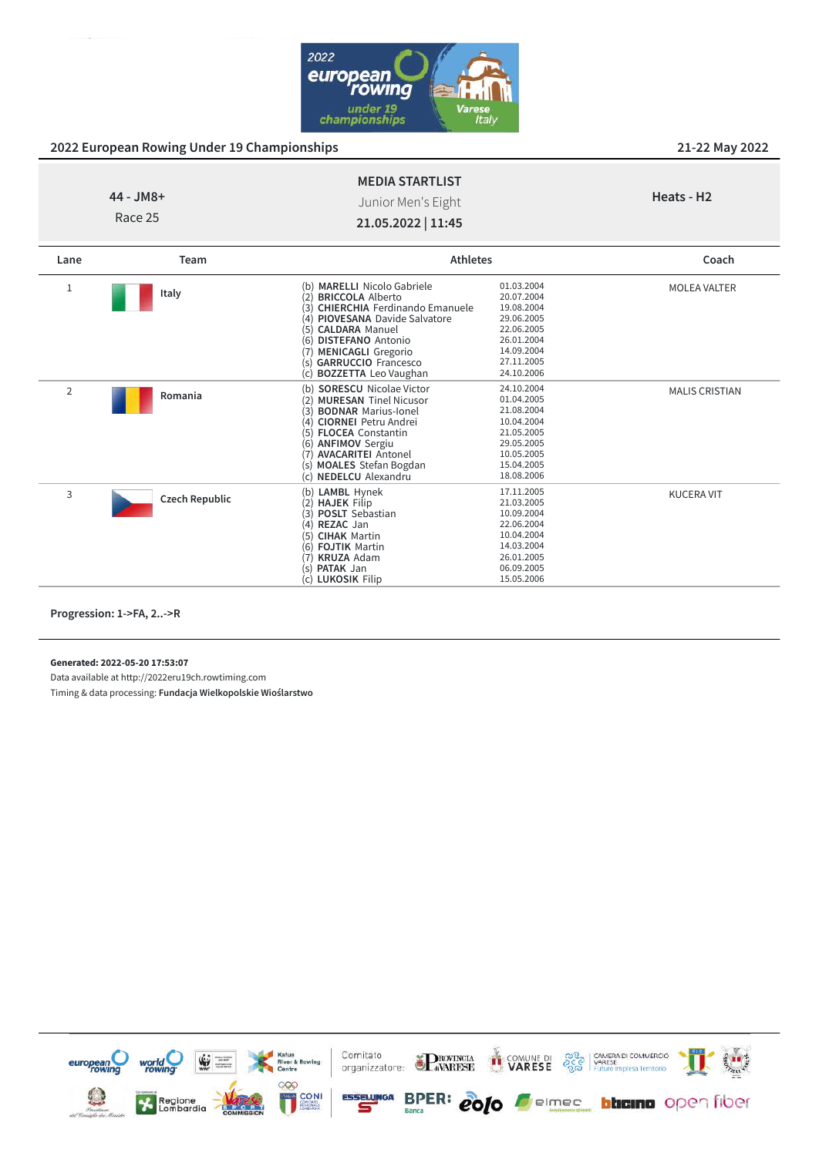

| 44 - JM8+<br>Race 25 | <b>MEDIA STARTLIST</b><br>Junior Men's Eight<br>21.05.2022   11:45 | Heats - H <sub>2</sub> |
|----------------------|--------------------------------------------------------------------|------------------------|
|                      | ____                                                               |                        |

| Lane           | Team                  | <b>Athletes</b>                                                                                                                                                                                                                                                                                                     |                                                                                                                            | Coach                 |
|----------------|-----------------------|---------------------------------------------------------------------------------------------------------------------------------------------------------------------------------------------------------------------------------------------------------------------------------------------------------------------|----------------------------------------------------------------------------------------------------------------------------|-----------------------|
|                | Italy                 | (b) MARELLI Nicolo Gabriele<br>(2) <b>BRICCOLA</b> Alberto<br><b>CHIERCHIA</b> Ferdinando Emanuele<br>(3)<br><b>PIOVESANA Davide Salvatore</b><br>(4)<br>(5) CALDARA Manuel<br><b>DISTEFANO</b> Antonio<br>(6)<br>(7) MENICAGLI Gregorio<br><b>GARRUCCIO</b> Francesco<br>(s)<br><b>BOZZETTA</b> Leo Vaughan<br>(c) | 01.03.2004<br>20.07.2004<br>19.08.2004<br>29.06.2005<br>22.06.2005<br>26.01.2004<br>14.09.2004<br>27.11.2005<br>24.10.2006 | <b>MOLEA VALTER</b>   |
| $\overline{2}$ | Romania               | <b>SORESCU</b> Nicolae Victor<br>(b)<br><b>MURESAN Tinel Nicusor</b><br>(2)<br><b>BODNAR Marius-lonel</b><br>(3)<br><b>CIORNEI Petru Andrei</b><br>(4)<br>(5) FLOCEA Constantin<br>(6)<br><b>ANFIMOV Sergiu</b><br><b>AVACARITEI Antonel</b><br><b>MOALES</b> Stefan Bogdan<br>(S)<br>(c) NEDELCU Alexandru         | 24.10.2004<br>01.04.2005<br>21.08.2004<br>10.04.2004<br>21.05.2005<br>29.05.2005<br>10.05.2005<br>15.04.2005<br>18.08.2006 | <b>MALIS CRISTIAN</b> |
| 3              | <b>Czech Republic</b> | (b) LAMBL Hynek<br>(2)<br><b>HAJEK Filip</b><br>(3) POSLT Sebastian<br>REZAC Jan<br>(4)<br>(5) CIHAK Martin<br><b>FOJTIK Martin</b><br>(6)<br>(7) KRUZA Adam<br><b>PATAK Jan</b><br>(s)<br>(c) LUKOSIK Filip                                                                                                        | 17.11.2005<br>21.03.2005<br>10.09.2004<br>22.06.2004<br>10.04.2004<br>14.03.2004<br>26.01.2005<br>06.09.2005<br>15.05.2006 | <b>KUCERA VIT</b>     |

**Progression: 1->FA, 2..->R**

**Generated: 2022-05-20 17:53:07**

Data available at http://2022eru19ch.rowtiming.com